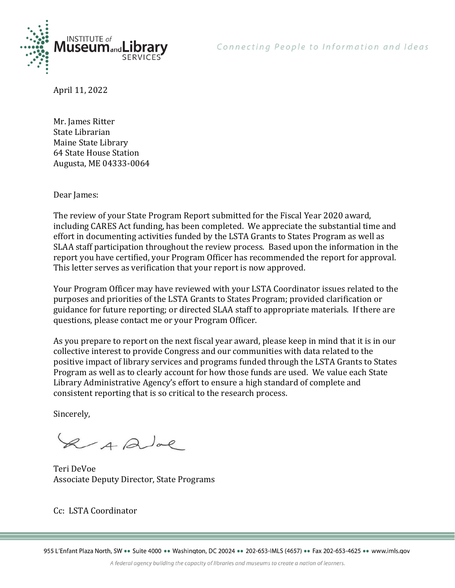

Connecting People to Information and Ideas

April 11, 2022

Mr. James Ritter State Librarian Maine State Library 64 State House Station Augusta, ME 04333-0064

Dear James:

The review of your State Program Report submitted for the Fiscal Year 2020 award, including CARES Act funding, has been completed. We appreciate the substantial time and effort in documenting activities funded by the LSTA Grants to States Program as well as SLAA staff participation throughout the review process. Based upon the information in the report you have certified, your Program Officer has recommended the report for approval. This letter serves as verification that your report is now approved.

Your Program Officer may have reviewed with your LSTA Coordinator issues related to the purposes and priorities of the LSTA Grants to States Program; provided clarification or guidance for future reporting; or directed SLAA staff to appropriate materials. If there are questions, please contact me or your Program Officer.

As you prepare to report on the next fiscal year award, please keep in mind that it is in our collective interest to provide Congress and our communities with data related to the positive impact of library services and programs funded through the LSTA Grants to States Program as well as to clearly account for how those funds are used. We value each State Library Administrative Agency's effort to ensure a high standard of complete and consistent reporting that is so critical to the research process.

Sincerely,

2 A Que

Teri DeVoe Associate Deputy Director, State Programs

Cc: LSTA Coordinator

955 L'Enfant Plaza North, SW ·· Suite 4000 ·· Washington, DC 20024 ·· 202-653-IMLS (4657) ·· Fax 202-653-4625 ·· www.imls.gov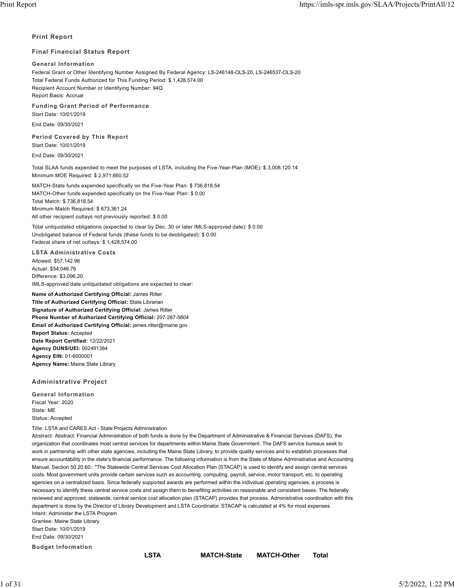### **Print Report**

### **Final Financial Status Report**

### **General Information**

Federal Grant or Other Identifying Number Assigned By Federal Agency: LS-246148-OLS-20, LS-246537-OLS-20 Total Federal Funds Authorized for This Funding Period: \$ 1,428,574.00 Recipient Account Number or Identifying Number: 94Q Report Basis: Accrual

## **Funding Grant Period of Performance**

Start Date: 10/01/2019

End Date: 09/30/2021

**Period Covered by This Report** Start Date: 10/01/2019

End Date: 09/30/2021

Total SLAA funds expended to meet the purposes of LSTA, including the Five-Year-Plan (MOE): \$ 3,008,120.14 Minimum MOE Required: \$ 2,971,660.52

MATCH-State funds expended specifically on the Five-Year Plan: \$ 736,818.54 MATCH-Other funds expended specifically on the Five-Year Plan: \$ 0.00 Total Match: \$ 736,818.54 Minimum Match Required: \$ 673,361.24 All other recipient outlays not previously reported: \$ 0.00

Total unliquidated obligations (expected to clear by Dec. 30 or later IMLS-approved date): \$ 0.00 Unobligated balance of Federal funds (these funds to be deobligated): \$ 0.00 Federal share of net outlays: \$ 1,428,574.00

**LSTA Administrative Costs**

Allowed: \$57,142.96 Actual: \$54,046.76 Difference: \$3,096.20 IMLS-approved date unliquidated obligations are expected to clear:

**Name of Authorized Certifying Official:** James Ritter **Title of Authorized Certifying Official:** State Librarian **Signature of Authorized Certifying Official:** James Ritter **Phone Number of Authorized Certifying Official:** 207-287-5604 **Email of Authorized Certifying Official:** james.ritter@maine.gov **Report Status:** Accepted **Date Report Certified:** 12/22/2021 **Agency DUNS/UEI:** 002491384 **Agency EIN:** 01-6000001 **Agency Name:** Maine State Library

## **Administrative Project**

**General Information** Fiscal Year: 2020 State: ME Status: Accepted

Title: LSTA and CARES Act - State Projects Administration

Abstract: Abstract: Financial Administration of both funds is done by the Department of Administrative & Financial Services (DAFS), the organization that coordinates most central services for departments within Maine State Government. The DAFS service bureaus seek to work in partnership with other state agencies, including the Maine State Library, to provide quality services and to establish processes that ensure accountability in the state's financial performance. The following information is from the State of Maine Administrative and Accounting Manual, Section 50.20.60.: "The Statewide Central Services Cost Allocation Plan (STACAP) is used to identify and assign central services costs. Most government units provide certain services such as accounting, computing, payroll, service, motor transport, etc. to operating agencies on a centralized basis. Since federally supported awards are performed within the individual operating agencies, a process is necessary to identify these central service costs and assign them to benefiting activities on reasonable and consistent bases. The federally reviewed and approved, statewide, central service cost allocation plan (STACAP) provides that process. Administrative coordination with this department is done by the Director of Library Development and LSTA Coordinator. STACAP is calculated at 4% for most expenses. Intent: Administer the LSTA Program Grantee: Maine State Library Start Date: 10/01/2019 End Date: 09/30/2021 **Budget Information**

**LSTA MATCH-State MATCH-Other Total**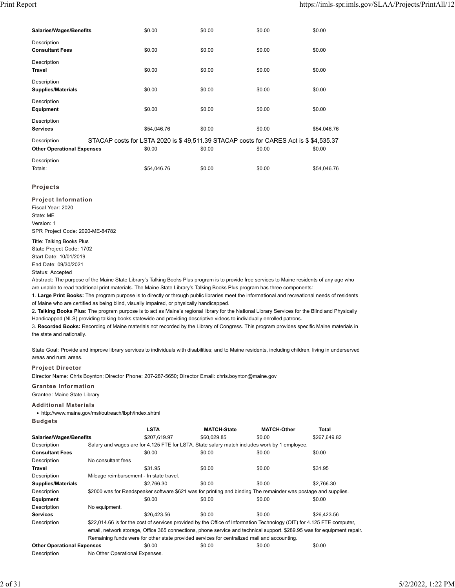| <b>Salaries/Wages/Benefits</b>                   | \$0.00                                                                                         | \$0.00 | \$0.00 | \$0.00      |
|--------------------------------------------------|------------------------------------------------------------------------------------------------|--------|--------|-------------|
| Description<br><b>Consultant Fees</b>            | \$0.00                                                                                         | \$0.00 | \$0.00 | \$0.00      |
| Description<br><b>Travel</b>                     | \$0.00                                                                                         | \$0.00 | \$0.00 | \$0.00      |
| Description<br><b>Supplies/Materials</b>         | \$0.00                                                                                         | \$0.00 | \$0.00 | \$0.00      |
| Description<br><b>Equipment</b>                  | \$0.00                                                                                         | \$0.00 | \$0.00 | \$0.00      |
| Description<br><b>Services</b>                   | \$54,046.76                                                                                    | \$0.00 | \$0.00 | \$54,046.76 |
| Description<br><b>Other Operational Expenses</b> | STACAP costs for LSTA 2020 is \$49,511.39 STACAP costs for CARES Act is \$\$4,535.37<br>\$0.00 | \$0.00 | \$0.00 | \$0.00      |
| Description<br>Totals:                           | \$54,046.76                                                                                    | \$0.00 | \$0.00 | \$54,046.76 |

## **Projects**

**Project Information** Fiscal Year: 2020 State: ME Version: 1 SPR Project Code: 2020-ME-84782

Title: Talking Books Plus State Project Code: 1702 Start Date: 10/01/2019 End Date: 09/30/2021

Status: Accepted

Abstract: The purpose of the Maine State Library's Talking Books Plus program is to provide free services to Maine residents of any age who are unable to read traditional print materials. The Maine State Library's Talking Books Plus program has three components:

1. **Large Print Books:** The program purpose is to directly or through public libraries meet the informational and recreational needs of residents of Maine who are certified as being blind, visually impaired, or physically handicapped.

2. **Talking Books Plus:** The program purpose is to act as Maine's regional library for the National Library Services for the Blind and Physically Handicapped (NLS) providing talking books statewide and providing descriptive videos to individually enrolled patrons.

3. **Recorded Books:** Recording of Maine materials not recorded by the Library of Congress. This program provides specific Maine materials in the state and nationally.

State Goal: Provide and improve library services to individuals with disabilities; and to Maine residents, including children, living in underserved areas and rural areas.

## **Project Director**

Director Name: Chris Boynton; Director Phone: 207-287-5650; Director Email: chris.boynton@maine.gov

## **Grantee Information**

Grantee: Maine State Library

### **Additional Materials**

• http://www.maine.gov/msl/outreach/lbph/index.shtml **Budgets**

|                                   |                                          | <b>LSTA</b>                                                                                                    | <b>MATCH-State</b>                                                                                                      | <b>MATCH-Other</b> | Total        |  |  |
|-----------------------------------|------------------------------------------|----------------------------------------------------------------------------------------------------------------|-------------------------------------------------------------------------------------------------------------------------|--------------------|--------------|--|--|
| <b>Salaries/Wages/Benefits</b>    |                                          | \$207,619.97                                                                                                   | \$60,029.85                                                                                                             | \$0.00             | \$267,649.82 |  |  |
| Description                       |                                          | Salary and wages are for 4.125 FTE for LSTA. State salary match includes work by 1 employee.                   |                                                                                                                         |                    |              |  |  |
| <b>Consultant Fees</b>            |                                          | \$0.00                                                                                                         | \$0.00                                                                                                                  | \$0.00             | \$0.00       |  |  |
| Description                       | No consultant fees                       |                                                                                                                |                                                                                                                         |                    |              |  |  |
| Travel                            |                                          | \$31.95                                                                                                        | \$0.00                                                                                                                  | \$0.00             | \$31.95      |  |  |
| Description                       | Mileage reimbursement - In state travel. |                                                                                                                |                                                                                                                         |                    |              |  |  |
| <b>Supplies/Materials</b>         |                                          | \$2.766.30                                                                                                     | \$0.00                                                                                                                  | \$0.00             | \$2,766.30   |  |  |
| Description                       |                                          | \$2000 was for Readspeaker software \$621 was for printing and binding The remainder was postage and supplies. |                                                                                                                         |                    |              |  |  |
| Equipment                         |                                          | \$0.00                                                                                                         | \$0.00                                                                                                                  | \$0.00             | \$0.00       |  |  |
| Description                       | No equipment.                            |                                                                                                                |                                                                                                                         |                    |              |  |  |
| <b>Services</b>                   |                                          | \$26,423.56                                                                                                    | \$0.00                                                                                                                  | \$0.00             | \$26.423.56  |  |  |
| Description                       |                                          |                                                                                                                | \$22,014.66 is for the cost of services provided by the Office of Information Technology (OIT) for 4.125 FTE computer,  |                    |              |  |  |
|                                   |                                          |                                                                                                                | email, network storage, Office 365 connections, phone service and technical support. \$289.95 was for equipment repair. |                    |              |  |  |
|                                   |                                          |                                                                                                                | Remaining funds were for other state provided services for centralized mail and accounting.                             |                    |              |  |  |
| <b>Other Operational Expenses</b> |                                          | \$0.00                                                                                                         | \$0.00                                                                                                                  | \$0.00             | \$0.00       |  |  |
| Description                       | No Other Operational Expenses.           |                                                                                                                |                                                                                                                         |                    |              |  |  |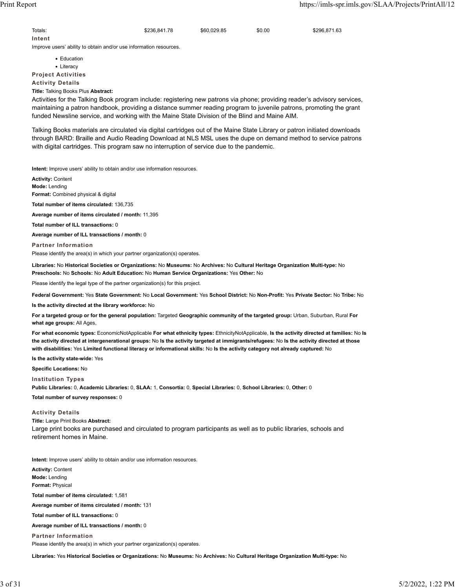Totals: \$236,841.78 \$60,029.85 \$0.00 \$296,871.63 **Intent**

Improve users' ability to obtain and/or use information resources.

• Education • Literacy **Project Activities**

**Activity Details**

**Title:** Talking Books Plus **Abstract:**

Activities for the Talking Book program include: registering new patrons via phone; providing reader's advisory services, maintaining a patron handbook, providing a distance summer reading program to juvenile patrons, promoting the grant funded Newsline service, and working with the Maine State Division of the Blind and Maine AIM.

Talking Books materials are circulated via digital cartridges out of the Maine State Library or patron initiated downloads through BARD: Braille and Audio Reading Download at NLS MSL uses the dupe on demand method to service patrons with digital cartridges. This program saw no interruption of service due to the pandemic.

**Intent:** Improve users' ability to obtain and/or use information resources.

**Activity:** Content **Mode:** Lending **Format:** Combined physical & digital

**Total number of items circulated:** 136,735

**Average number of items circulated / month:** 11,395

**Total number of ILL transactions:** 0

**Average number of ILL transactions / month:** 0

**Partner Information** Please identify the area(s) in which your partner organization(s) operates.

**Libraries:** No **Historical Societies or Organizations:** No **Museums:** No **Archives:** No **Cultural Heritage Organization Multi-type:** No **Preschools:** No **Schools:** No **Adult Education:** No **Human Service Organizations:** Yes **Other:** No

Please identify the legal type of the partner organization(s) for this project.

**Federal Government:** Yes **State Government:** No **Local Government:** Yes **School District:** No **Non-Profit:** Yes **Private Sector:** No **Tribe:** No

**Is the activity directed at the library workforce:** No

**For a targeted group or for the general population:** Targeted **Geographic community of the targeted group:** Urban, Suburban, Rural **For what age groups:** All Ages,

**For what economic types:** EconomicNotApplicable **For what ethnicity types:** EthnicityNotApplicable, **Is the activity directed at families:** No **Is the activity directed at intergenerational groups:** No **Is the activity targeted at immigrants/refugees:** No **Is the activity directed at those with disabilities:** Yes **Limited functional literacy or informational skills:** No **Is the activity category not already captured:** No

**Is the activity state-wide:** Yes

**Specific Locations:** No

**Institution Types Public Libraries:** 0, **Academic Libraries:** 0, **SLAA:** 1, **Consortia:** 0, **Special Libraries:** 0, **School Libraries:** 0, **Other:** 0

**Total number of survey responses:** 0

### **Activity Details**

**Title:** Large Print Books **Abstract:** Large print books are purchased and circulated to program participants as well as to public libraries, schools and retirement homes in Maine.

**Intent:** Improve users' ability to obtain and/or use information resources.

**Activity:** Content **Mode:** Lending **Format:** Physical **Total number of items circulated:** 1,581 **Average number of items circulated / month:** 131 **Total number of ILL transactions:** 0 **Average number of ILL transactions / month:** 0 **Partner Information** Please identify the area(s) in which your partner organization(s) operates.

**Libraries:** Yes **Historical Societies or Organizations:** No **Museums:** No **Archives:** No **Cultural Heritage Organization Multi-type:** No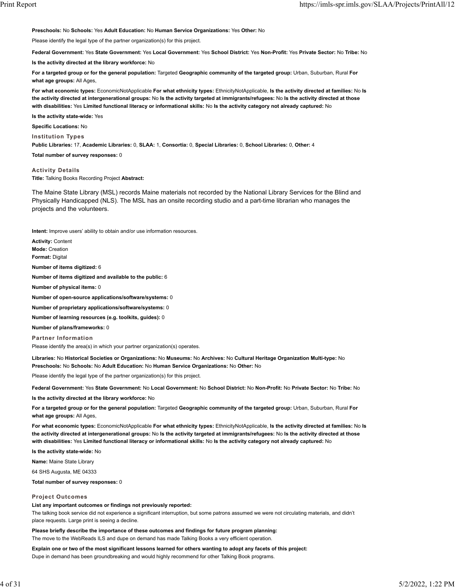**Preschools:** No **Schools:** Yes **Adult Education:** No **Human Service Organizations:** Yes **Other:** No

Please identify the legal type of the partner organization(s) for this project.

**Federal Government:** Yes **State Government:** Yes **Local Government:** Yes **School District:** Yes **Non-Profit:** Yes **Private Sector:** No **Tribe:** No

**Is the activity directed at the library workforce:** No

**For a targeted group or for the general population:** Targeted **Geographic community of the targeted group:** Urban, Suburban, Rural **For what age groups:** All Ages,

**For what economic types:** EconomicNotApplicable **For what ethnicity types:** EthnicityNotApplicable, **Is the activity directed at families:** No **Is the activity directed at intergenerational groups:** No **Is the activity targeted at immigrants/refugees:** No **Is the activity directed at those with disabilities:** Yes **Limited functional literacy or informational skills:** No **Is the activity category not already captured:** No

**Is the activity state-wide:** Yes

**Specific Locations:** No

**Institution Types**

**Public Libraries:** 17, **Academic Libraries:** 0, **SLAA:** 1, **Consortia:** 0, **Special Libraries:** 0, **School Libraries:** 0, **Other:** 4

**Total number of survey responses:** 0

**Activity Details Title:** Talking Books Recording Project **Abstract:**

The Maine State Library (MSL) records Maine materials not recorded by the National Library Services for the Blind and Physically Handicapped (NLS). The MSL has an onsite recording studio and a part-time librarian who manages the projects and the volunteers.

**Intent:** Improve users' ability to obtain and/or use information resources.

**Activity:** Content **Mode:** Creation **Format:** Digital

**Number of items digitized:** 6

**Number of items digitized and available to the public:** 6

**Number of physical items:** 0

**Number of open-source applications/software/systems:** 0

**Number of proprietary applications/software/systems:** 0

**Number of learning resources (e.g. toolkits, guides):** 0

**Number of plans/frameworks:** 0

**Partner Information**

Please identify the area(s) in which your partner organization(s) operates.

**Libraries:** No **Historical Societies or Organizations:** No **Museums:** No **Archives:** No **Cultural Heritage Organization Multi-type:** No **Preschools:** No **Schools:** No **Adult Education:** No **Human Service Organizations:** No **Other:** No

Please identify the legal type of the partner organization(s) for this project.

**Federal Government:** Yes **State Government:** No **Local Government:** No **School District:** No **Non-Profit:** No **Private Sector:** No **Tribe:** No

**Is the activity directed at the library workforce:** No

**For a targeted group or for the general population:** Targeted **Geographic community of the targeted group:** Urban, Suburban, Rural **For what age groups:** All Ages,

**For what economic types:** EconomicNotApplicable **For what ethnicity types:** EthnicityNotApplicable, **Is the activity directed at families:** No **Is the activity directed at intergenerational groups:** No **Is the activity targeted at immigrants/refugees:** No **Is the activity directed at those with disabilities:** Yes **Limited functional literacy or informational skills:** No **Is the activity category not already captured:** No

**Is the activity state-wide:** No

**Name:** Maine State Library

64 SHS Augusta, ME 04333

**Total number of survey responses:** 0

#### **Project Outcomes**

**List any important outcomes or findings not previously reported:**

The talking book service did not experience a significant interruption, but some patrons assumed we were not circulating materials, and didn't place requests. Large print is seeing a decline.

**Please briefly describe the importance of these outcomes and findings for future program planning:** The move to the WebReads ILS and dupe on demand has made Talking Books a very efficient operation.

**Explain one or two of the most significant lessons learned for others wanting to adopt any facets of this project:** Dupe in demand has been groundbreaking and would highly recommend for other Talking Book programs.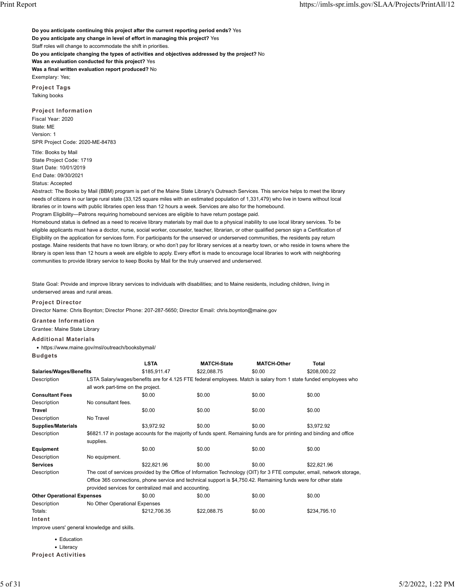**Do you anticipate continuing this project after the current reporting period ends?** Yes **Do you anticipate any change in level of effort in managing this project?** Yes Staff roles will change to accommodate the shift in priorities. **Do you anticipate changing the types of activities and objectives addressed by the project?** No **Was an evaluation conducted for this project?** Yes **Was a final written evaluation report produced?** No Exemplary: Yes; **Project Tags**

Talking books

**Project Information** Fiscal Year: 2020 State: ME Version: 1 SPR Project Code: 2020-ME-84783

Title: Books by Mail State Project Code: 1719 Start Date: 10/01/2019 End Date: 09/30/2021 Status: Accepted

Abstract: The Books by Mail (BBM) program is part of the Maine State Library's Outreach Services. This service helps to meet the library needs of citizens in our large rural state (33,125 square miles with an estimated population of 1,331,479) who live in towns without local libraries or in towns with public libraries open less than 12 hours a week. Services are also for the homebound.

Program Eligibility—Patrons requiring homebound services are eligible to have return postage paid. Homebound status is defined as a need to receive library materials by mail due to a physical inability to use local library services. To be eligible applicants must have a doctor, nurse, social worker, counselor, teacher, librarian, or other qualified person sign a Certification of Eligibility on the application for services form. For participants for the unserved or underserved communities, the residents pay return postage. Maine residents that have no town library, or who don't pay for library services at a nearby town, or who reside in towns where the library is open less than 12 hours a week are eligible to apply. Every effort is made to encourage local libraries to work with neighboring communities to provide library service to keep Books by Mail for the truly unserved and underserved.

State Goal: Provide and improve library services to individuals with disabilities; and to Maine residents, including children, living in underserved areas and rural areas.

**Project Director**

Director Name: Chris Boynton; Director Phone: 207-287-5650; Director Email: chris.boynton@maine.gov

**Grantee Information**

Grantee: Maine State Library

**Additional Materials**

• https://www.maine.gov/msl/outreach/booksbymail/

|--|--|

|                                   |                                                                                                                        | <b>LSTA</b>                                            | <b>MATCH-State</b> | <b>MATCH-Other</b> | Total                                                                                                                   |  |  |
|-----------------------------------|------------------------------------------------------------------------------------------------------------------------|--------------------------------------------------------|--------------------|--------------------|-------------------------------------------------------------------------------------------------------------------------|--|--|
|                                   | Salaries/Wages/Benefits                                                                                                |                                                        | \$22,088.75        | \$0.00             | \$208,000.22                                                                                                            |  |  |
| Description                       |                                                                                                                        |                                                        |                    |                    | LSTA Salary/wages/benefits are for 4.125 FTE federal employees. Match is salary from 1 state funded employees who       |  |  |
|                                   | all work part-time on the project.                                                                                     |                                                        |                    |                    |                                                                                                                         |  |  |
| <b>Consultant Fees</b>            |                                                                                                                        | \$0.00                                                 | \$0.00             | \$0.00             | \$0.00                                                                                                                  |  |  |
| Description                       | No consultant fees.                                                                                                    |                                                        |                    |                    |                                                                                                                         |  |  |
| <b>Travel</b>                     |                                                                                                                        | \$0.00                                                 | \$0.00             | \$0.00             | \$0.00                                                                                                                  |  |  |
| Description                       | No Travel                                                                                                              |                                                        |                    |                    |                                                                                                                         |  |  |
| <b>Supplies/Materials</b>         |                                                                                                                        | \$3,972.92                                             | \$0.00             | \$0.00             | \$3,972.92                                                                                                              |  |  |
| Description                       | \$6821.17 in postage accounts for the majority of funds spent. Remaining funds are for printing and binding and office |                                                        |                    |                    |                                                                                                                         |  |  |
|                                   | supplies.                                                                                                              |                                                        |                    |                    |                                                                                                                         |  |  |
| Equipment                         |                                                                                                                        | \$0.00                                                 | \$0.00             | \$0.00             | \$0.00                                                                                                                  |  |  |
| Description                       | No equipment.                                                                                                          |                                                        |                    |                    |                                                                                                                         |  |  |
| <b>Services</b>                   |                                                                                                                        | \$22,821.96                                            | \$0.00             | \$0.00             | \$22,821.96                                                                                                             |  |  |
| Description                       |                                                                                                                        |                                                        |                    |                    | The cost of services provided by the Office of Information Technology (OIT) for 3 FTE computer, email, network storage, |  |  |
|                                   | Office 365 connections, phone service and technical support is \$4,750.42. Remaining funds were for other state        |                                                        |                    |                    |                                                                                                                         |  |  |
|                                   |                                                                                                                        | provided services for centralized mail and accounting. |                    |                    |                                                                                                                         |  |  |
| <b>Other Operational Expenses</b> |                                                                                                                        | \$0.00                                                 | \$0.00             | \$0.00             | \$0.00                                                                                                                  |  |  |
| Description                       | No Other Operational Expenses                                                                                          |                                                        |                    |                    |                                                                                                                         |  |  |
| Totals:                           |                                                                                                                        | \$212,706.35                                           | \$22,088.75        | \$0.00             | \$234,795.10                                                                                                            |  |  |
| Intent                            |                                                                                                                        |                                                        |                    |                    |                                                                                                                         |  |  |

Improve users' general knowledge and skills.

• Education

• Literacy

**Project Activities**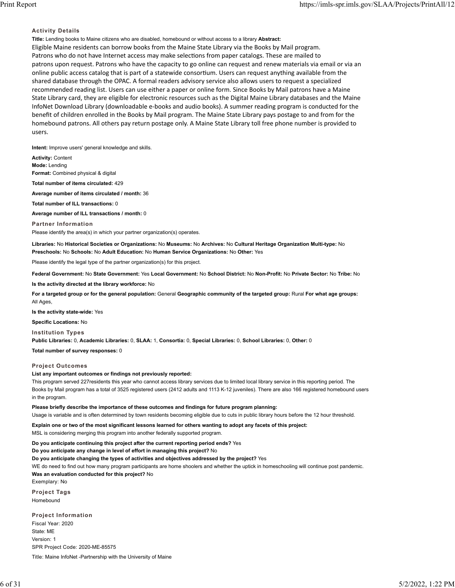### **Activity Details**

**Title:** Lending books to Maine citizens who are disabled, homebound or without access to a library **Abstract:** Eligible Maine residents can borrow books from the Maine State Library via the Books by Mail program. Patrons who do not have Internet access may make selections from paper catalogs. These are mailed to patrons upon request. Patrons who have the capacity to go online can request and renew materials via email or via an online public access catalog that is part of a statewide consortium. Users can request anything available from the shared database through the OPAC. A formal readers advisory service also allows users to request a specialized recommended reading list. Users can use either a paper or online form. Since Books by Mail patrons have a Maine State Library card, they are eligible for electronic resources such as the Digital Maine Library databases and the Maine InfoNet Download Library (downloadable e-books and audio books). A summer reading program is conducted for the benefit of children enrolled in the Books by Mail program. The Maine State Library pays postage to and from for the homebound patrons. All others pay return postage only. A Maine State Library toll free phone number is provided to users.

**Intent:** Improve users' general knowledge and skills.

**Activity:** Content **Mode:** Lending

**Format:** Combined physical & digital

**Total number of items circulated:** 429

**Average number of items circulated / month:** 36

**Total number of ILL transactions:** 0

**Average number of ILL transactions / month:** 0

**Partner Information** Please identify the area(s) in which your partner organization(s) operates.

**Libraries:** No **Historical Societies or Organizations:** No **Museums:** No **Archives:** No **Cultural Heritage Organization Multi-type:** No **Preschools:** No **Schools:** No **Adult Education:** No **Human Service Organizations:** No **Other:** Yes

Please identify the legal type of the partner organization(s) for this project.

**Federal Government:** No **State Government:** Yes **Local Government:** No **School District:** No **Non-Profit:** No **Private Sector:** No **Tribe:** No

**Is the activity directed at the library workforce:** No

**For a targeted group or for the general population:** General **Geographic community of the targeted group:** Rural **For what age groups:** All Ages,

**Is the activity state-wide:** Yes

**Specific Locations:** No

**Institution Types**

**Public Libraries:** 0, **Academic Libraries:** 0, **SLAA:** 1, **Consortia:** 0, **Special Libraries:** 0, **School Libraries:** 0, **Other:** 0

**Total number of survey responses:** 0

#### **Project Outcomes**

**List any important outcomes or findings not previously reported:**

This program served 227residents this year who cannot access library services due to limited local library service in this reporting period. The Books by Mail program has a total of 3525 registered users (2412 adults and 1113 K-12 juveniles). There are also 166 registered homebound users in the program.

**Please briefly describe the importance of these outcomes and findings for future program planning:** Usage is variable and is often determined by town residents becoming eligible due to cuts in public library hours before the 12 hour threshold.

**Explain one or two of the most significant lessons learned for others wanting to adopt any facets of this project:**

MSL is considering merging this program into another federally supported program.

**Do you anticipate continuing this project after the current reporting period ends?** Yes

**Do you anticipate any change in level of effort in managing this project?** No

**Do you anticipate changing the types of activities and objectives addressed by the project?** Yes

WE do need to find out how many program participants are home shoolers and whether the uptick in homeschooling will continue post pandemic.

**Was an evaluation conducted for this project?** No

Exemplary: No

**Project Tags** Homebound

**Project Information** Fiscal Year: 2020 State: ME Version: 1 SPR Project Code: 2020-ME-85575 Title: Maine InfoNet -Partnership with the University of Maine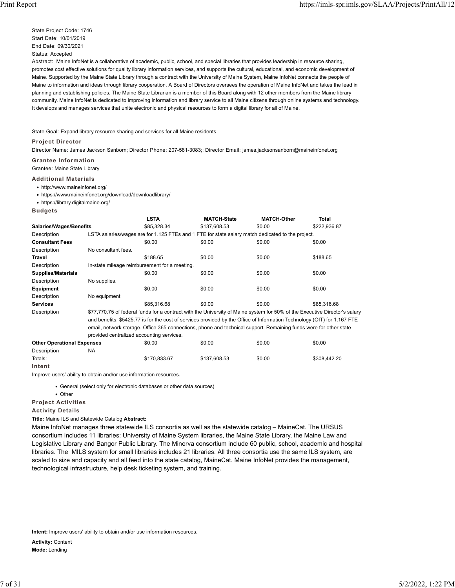State Project Code: 1746 Start Date: 10/01/2019 End Date: 09/30/2021 Status: Accepted

Abstract: Maine InfoNet is a collaborative of academic, public, school, and special libraries that provides leadership in resource sharing, promotes cost effective solutions for quality library information services, and supports the cultural, educational, and economic development of Maine. Supported by the Maine State Library through a contract with the University of Maine System, Maine InfoNet connects the people of Maine to information and ideas through library cooperation. A Board of Directors oversees the operation of Maine InfoNet and takes the lead in planning and establishing policies. The Maine State Librarian is a member of this Board along with 12 other members from the Maine library community. Maine InfoNet is dedicated to improving information and library service to all Maine citizens through online systems and technology. It develops and manages services that unite electronic and physical resources to form a digital library for all of Maine.

State Goal: Expand library resource sharing and services for all Maine residents

### **Project Director**

Director Name: James Jackson Sanborn; Director Phone: 207-581-3083;; Director Email: james.jacksonsanborn@maineinfonet.org

**Grantee Information**

Grantee: Maine State Library

### **Additional Materials**

**Budgets**

• http://www.maineinfonet.org/

• https://www.maineinfonet.org/download/downloadlibrary/

• https://library.digitalmaine.org/

**LSTA MATCH-State MATCH-Other Total Salaries/Wages/Benefits** \$85,328.34 \$137,608.53 \$0.00 \$222,936.87 Description LSTA salaries/wages are for 1.125 FTEs and 1 FTE for state salary match dedicated to the project. **Consultant Fees** \$0.00 \$0.00 \$0.00 \$0.00 \$0.00 \$0.00 Description No consultant fees. **Travel** \$188.65 \$0.00 \$0.00 \$188.65 Description In-state mileage reimbursement for a meeting. **Supplies/Materials** \$0.00 \$0.00 \$0.00 \$0.00 \$0.00 \$0.00 Description No supplies. **Equipment** \$0.00 \$0.00 \$0.00 \$0.00 Description No equipment **Services** \$85,316.68 \$0.00 \$0.00 \$85,316.68 Description \$77,770.75 of federal funds for a contract with the University of Maine system for 50% of the Executive Director's salary and benefits. \$5425.77 is for the cost of services provided by the Office of Information Technology (OIT) for 1.167 FTE email, network storage, Office 365 connections, phone and technical support. Remaining funds were for other state provided centralized accounting services.

**Other Operational Expenses** \$0.00 \$0.00 \$0.00 \$0.00 Description NA Totals: \$170,833.67 \$137,608.53 \$0.00 \$308,442.20 **Intent**

Improve users' ability to obtain and/or use information resources.

• General (select only for electronic databases or other data sources)

• Other

**Project Activities**

**Activity Details**

**Title:** Maine ILS and Statewide Catalog **Abstract:**

Maine InfoNet manages three statewide ILS consortia as well as the statewide catalog – MaineCat. The URSUS consortium includes 11 libraries: University of Maine System libraries, the Maine State Library, the Maine Law and Legislative Library and Bangor Public Library. The Minerva consortium include 60 public, school, academic and hospital libraries. The MILS system for small libraries includes 21 libraries. All three consortia use the same ILS system, are scaled to size and capacity and all feed into the state catalog, MaineCat. Maine InfoNet provides the management, technological infrastructure, help desk ticketing system, and training.

**Intent:** Improve users' ability to obtain and/or use information resources.

**Activity:** Content **Mode:** Lending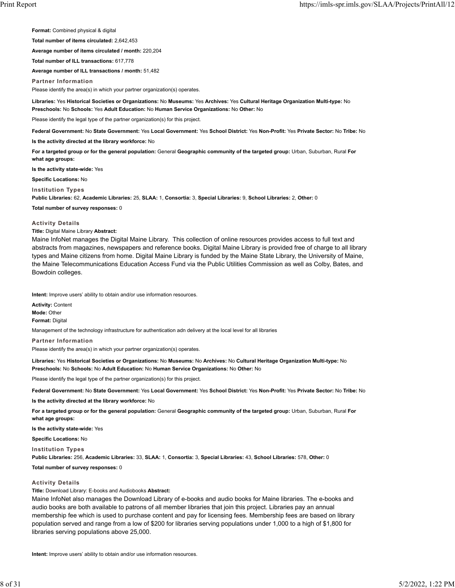**Format:** Combined physical & digital

**Total number of items circulated:** 2,642,453

**Average number of items circulated / month:** 220,204

**Total number of ILL transactions:** 617,778

**Average number of ILL transactions / month:** 51,482

**Partner Information**

Please identify the area(s) in which your partner organization(s) operates.

**Libraries:** Yes **Historical Societies or Organizations:** No **Museums:** Yes **Archives:** Yes **Cultural Heritage Organization Multi-type:** No **Preschools:** No **Schools:** Yes **Adult Education:** No **Human Service Organizations:** No **Other:** No

Please identify the legal type of the partner organization(s) for this project.

**Federal Government:** No **State Government:** Yes **Local Government:** Yes **School District:** Yes **Non-Profit:** Yes **Private Sector:** No **Tribe:** No

**Is the activity directed at the library workforce:** No

**For a targeted group or for the general population:** General **Geographic community of the targeted group:** Urban, Suburban, Rural **For what age groups:**

**Is the activity state-wide:** Yes

**Specific Locations:** No

**Institution Types**

**Public Libraries:** 62, **Academic Libraries:** 25, **SLAA:** 1, **Consortia:** 3, **Special Libraries:** 9, **School Libraries:** 2, **Other:** 0

**Total number of survey responses:** 0

#### **Activity Details**

## **Title:** Digital Maine Library **Abstract:**

Maine InfoNet manages the Digital Maine Library. This collection of online resources provides access to full text and abstracts from magazines, newspapers and reference books. Digital Maine Library is provided free of charge to all library types and Maine citizens from home. Digital Maine Library is funded by the Maine State Library, the University of Maine, the Maine Telecommunications Education Access Fund via the Public Utilities Commission as well as Colby, Bates, and Bowdoin colleges.

**Intent:** Improve users' ability to obtain and/or use information resources.

**Activity:** Content **Mode:** Other **Format:** Digital

Management of the technology infrastructure for authentication adn delivery at the local level for all libraries

**Partner Information** Please identify the area(s) in which your partner organization(s) operates.

**Libraries:** Yes **Historical Societies or Organizations:** No **Museums:** No **Archives:** No **Cultural Heritage Organization Multi-type:** No **Preschools:** No **Schools:** No **Adult Education:** No **Human Service Organizations:** No **Other:** No

Please identify the legal type of the partner organization(s) for this project.

**Federal Government:** No **State Government:** Yes **Local Government:** Yes **School District:** Yes **Non-Profit:** Yes **Private Sector:** No **Tribe:** No

**Is the activity directed at the library workforce:** No

**For a targeted group or for the general population:** General **Geographic community of the targeted group:** Urban, Suburban, Rural **For what age groups:**

**Is the activity state-wide:** Yes

**Specific Locations:** No

**Institution Types**

**Public Libraries:** 256, **Academic Libraries:** 33, **SLAA:** 1, **Consortia:** 3, **Special Libraries:** 43, **School Libraries:** 578, **Other:** 0

**Total number of survey responses:** 0

#### **Activity Details**

**Title:** Download Library: E-books and Audiobooks **Abstract:**

Maine InfoNet also manages the Download Library of e-books and audio books for Maine libraries. The e-books and audio books are both available to patrons of all member libraries that join this project. Libraries pay an annual membership fee which is used to purchase content and pay for licensing fees. Membership fees are based on library population served and range from a low of \$200 for libraries serving populations under 1,000 to a high of \$1,800 for libraries serving populations above 25,000.

**Intent:** Improve users' ability to obtain and/or use information resources.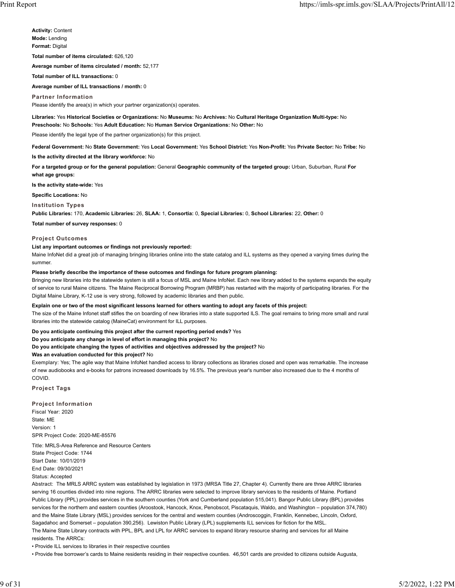**Activity:** Content **Mode:** Lending **Format:** Digital **Total number of items circulated:** 626,120 **Average number of items circulated / month:** 52,177 **Total number of ILL transactions:** 0

#### **Average number of ILL transactions / month:** 0

**Partner Information**

Please identify the area(s) in which your partner organization(s) operates.

**Libraries:** Yes **Historical Societies or Organizations:** No **Museums:** No **Archives:** No **Cultural Heritage Organization Multi-type:** No **Preschools:** No **Schools:** Yes **Adult Education:** No **Human Service Organizations:** No **Other:** No

Please identify the legal type of the partner organization(s) for this project.

**Federal Government:** No **State Government:** Yes **Local Government:** Yes **School District:** Yes **Non-Profit:** Yes **Private Sector:** No **Tribe:** No

**Is the activity directed at the library workforce:** No

**For a targeted group or for the general population:** General **Geographic community of the targeted group:** Urban, Suburban, Rural **For what age groups:**

**Is the activity state-wide:** Yes

**Specific Locations:** No

#### **Institution Types**

**Public Libraries:** 170, **Academic Libraries:** 26, **SLAA:** 1, **Consortia:** 0, **Special Libraries:** 0, **School Libraries:** 22, **Other:** 0

**Total number of survey responses:** 0

#### **Project Outcomes**

#### **List any important outcomes or findings not previously reported:**

Maine InfoNet did a great job of managing bringing libraries online into the state catalog and ILL systems as they opened a varying times during the summer.

#### **Please briefly describe the importance of these outcomes and findings for future program planning:**

Bringing new libraries into the statewide system is still a focus of MSL and Maine InfoNet. Each new library added to the systems expands the equity of service to rural Maine citizens. The Maine Reciprocal Borrowing Program (MRBP) has restarted with the majority of participating libraries. For the Digital Maine Library, K-12 use is very strong, followed by academic libraries and then public.

#### **Explain one or two of the most significant lessons learned for others wanting to adopt any facets of this project:**

The size of the Maine Infonet staff stifles the on boarding of new libraries into a state supported ILS. The goal remains to bring more small and rural libraries into the statewide catalog (MaineCat) environment for ILL purposes.

**Do you anticipate continuing this project after the current reporting period ends?** Yes

**Do you anticipate any change in level of effort in managing this project?** No

#### **Do you anticipate changing the types of activities and objectives addressed by the project?** No

**Was an evaluation conducted for this project?** No

Exemplary: Yes; The agile way that Maine InfoNet handled access to library collections as libraries closed and open was remarkable. The increase of new audiobooks and e-books for patrons increased downloads by 16.5%. The previous year's number also increased due to the 4 months of COVID.

**Project Tags**

**Project Information** Fiscal Year: 2020 State: ME Version: 1 SPR Project Code: 2020-ME-85576

Title: MRLS-Area Reference and Resource Centers State Project Code: 1744 Start Date: 10/01/2019 End Date: 09/30/2021 Status: Accepted

Abstract: The MRLS ARRC system was established by legislation in 1973 (MRSA Title 27, Chapter 4). Currently there are three ARRC libraries serving 16 counties divided into nine regions. The ARRC libraries were selected to improve library services to the residents of Maine. Portland Public Library (PPL) provides services in the southern counties (York and Cumberland population 515,041). Bangor Public Library (BPL) provides services for the northern and eastern counties (Aroostook, Hancock, Knox, Penobscot, Piscataquis, Waldo, and Washington – population 374,780) and the Maine State Library (MSL) provides services for the central and western counties (Androscoggin, Franklin, Kennebec, Lincoln, Oxford, Sagadahoc and Somerset – population 390,256). Lewiston Public Library (LPL) supplements ILL services for fiction for the MSL. The Maine State Library contracts with PPL, BPL and LPL for ARRC services to expand library resource sharing and services for all Maine residents. The ARRCs:

• Provide ILL services to libraries in their respective counties

• Provide free borrower's cards to Maine residents residing in their respective counties. 46,501 cards are provided to citizens outside Augusta,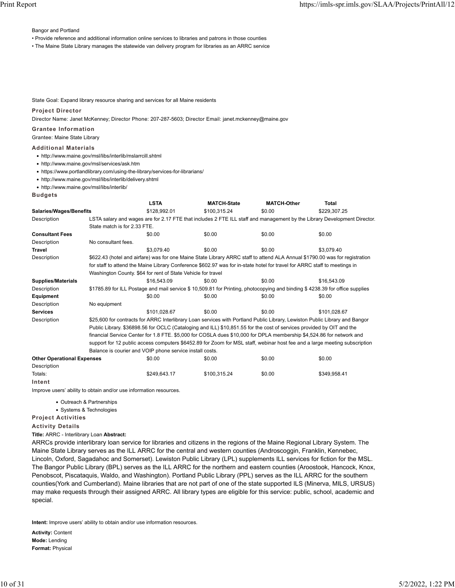Bangor and Portland

• Provide reference and additional information online services to libraries and patrons in those counties

• The Maine State Library manages the statewide van delivery program for libraries as an ARRC service

State Goal: Expand library resource sharing and services for all Maine residents

#### **Project Director**

Director Name: Janet McKenney; Director Phone: 207-287-5603; Director Email: janet.mckenney@maine.gov

## **Grantee Information**

Grantee: Maine State Library

#### **Additional Materials**

- http://www.maine.gov/msl/libs/interlib/mslarrcill.shtml
- http://www.maine.gov/msl/services/ask.htm
- https://www.portlandlibrary.com/using-the-library/services-for-librarians/
- http://www.maine.gov/msl/libs/interlib/delivery.shtml

• http://www.maine.gov/msl/libs/interlib/

|                                   |                                                                                                                            | <b>LSTA</b>                                                                                                                 | <b>MATCH-State</b> | <b>MATCH-Other</b> | <b>Total</b>                                                                                                             |  |
|-----------------------------------|----------------------------------------------------------------------------------------------------------------------------|-----------------------------------------------------------------------------------------------------------------------------|--------------------|--------------------|--------------------------------------------------------------------------------------------------------------------------|--|
| <b>Salaries/Wages/Benefits</b>    |                                                                                                                            | \$128,992.01                                                                                                                | \$100,315.24       | \$0.00             | \$229,307.25                                                                                                             |  |
| Description                       |                                                                                                                            |                                                                                                                             |                    |                    | LSTA salary and wages are for 2.17 FTE that includes 2 FTE ILL staff and management by the Library Development Director. |  |
|                                   | State match is for 2.33 FTE.                                                                                               |                                                                                                                             |                    |                    |                                                                                                                          |  |
| <b>Consultant Fees</b>            |                                                                                                                            | \$0.00                                                                                                                      | \$0.00             | \$0.00             | \$0.00                                                                                                                   |  |
| Description                       | No consultant fees.                                                                                                        |                                                                                                                             |                    |                    |                                                                                                                          |  |
| <b>Travel</b>                     |                                                                                                                            | \$3.079.40                                                                                                                  | \$0.00             | \$0.00             | \$3.079.40                                                                                                               |  |
| Description                       |                                                                                                                            | \$622.43 (hotel and airfare) was for one Maine State Library ARRC staff to attend ALA Annual \$1790.00 was for registration |                    |                    |                                                                                                                          |  |
|                                   |                                                                                                                            | for staff to attend the Maine Library Conference \$602.97 was for in-state hotel for travel for ARRC staff to meetings in   |                    |                    |                                                                                                                          |  |
|                                   |                                                                                                                            | Washington County. \$64 for rent of State Vehicle for travel                                                                |                    |                    |                                                                                                                          |  |
| <b>Supplies/Materials</b>         |                                                                                                                            | \$16,543.09                                                                                                                 | \$0.00             | \$0.00             | \$16,543.09                                                                                                              |  |
| Description                       |                                                                                                                            | \$1785.89 for ILL Postage and mail service \$10,509.81 for Printing, photocopying and binding \$4238.39 for office supplies |                    |                    |                                                                                                                          |  |
| Equipment                         |                                                                                                                            | \$0.00                                                                                                                      | \$0.00             | \$0.00             | \$0.00                                                                                                                   |  |
| Description                       | No equipment                                                                                                               |                                                                                                                             |                    |                    |                                                                                                                          |  |
| <b>Services</b>                   |                                                                                                                            | \$101.028.67                                                                                                                | \$0.00             | \$0.00             | \$101.028.67                                                                                                             |  |
| Description                       |                                                                                                                            | \$25,600 for contracts for ARRC Interlibrary Loan services with Portland Public Library, Lewiston Public Library and Bangor |                    |                    |                                                                                                                          |  |
|                                   | Public Library. \$36898.56 for OCLC (Cataloging and ILL) \$10,851.55 for the cost of services provided by OIT and the      |                                                                                                                             |                    |                    |                                                                                                                          |  |
|                                   | financial Service Center for 1.8 FTE. \$5,000 for COSLA dues \$10,000 for DPLA membership \$4,524.86 for network and       |                                                                                                                             |                    |                    |                                                                                                                          |  |
|                                   | support for 12 public access computers \$6452.89 for Zoom for MSL staff, webinar host fee and a large meeting subscription |                                                                                                                             |                    |                    |                                                                                                                          |  |
|                                   | Balance is courier and VOIP phone service install costs.                                                                   |                                                                                                                             |                    |                    |                                                                                                                          |  |
| <b>Other Operational Expenses</b> |                                                                                                                            | \$0.00                                                                                                                      | \$0.00             | \$0.00             | \$0.00                                                                                                                   |  |
| Description                       |                                                                                                                            |                                                                                                                             |                    |                    |                                                                                                                          |  |
| Totals:                           |                                                                                                                            | \$249.643.17                                                                                                                | \$100.315.24       | \$0.00             | \$349.958.41                                                                                                             |  |

**Intent**

Improve users' ability to obtain and/or use information resources.

- Outreach & Partnerships
- Systems & Technologies

**Project Activities**

**Activity Details**

**Title:** ARRC - Interlibrary Loan **Abstract:**

ARRCs provide interlibrary loan service for libraries and citizens in the regions of the Maine Regional Library System. The Maine State Library serves as the ILL ARRC for the central and western counties (Androscoggin, Franklin, Kennebec, Lincoln, Oxford, Sagadahoc and Somerset). Lewiston Public Library (LPL) supplements ILL services for fiction for the MSL. The Bangor Public Library (BPL) serves as the ILL ARRC for the northern and eastern counties (Aroostook, Hancock, Knox, Penobscot, Piscataquis, Waldo, and Washington). Portland Public Library (PPL) serves as the ILL ARRC for the southern counties(York and Cumberland). Maine libraries that are not part of one of the state supported ILS (Minerva, MILS, URSUS) may make requests through their assigned ARRC. All library types are eligible for this service: public, school, academic and special.

**Intent:** Improve users' ability to obtain and/or use information resources.

**Activity:** Content **Mode:** Lending **Format:** Physical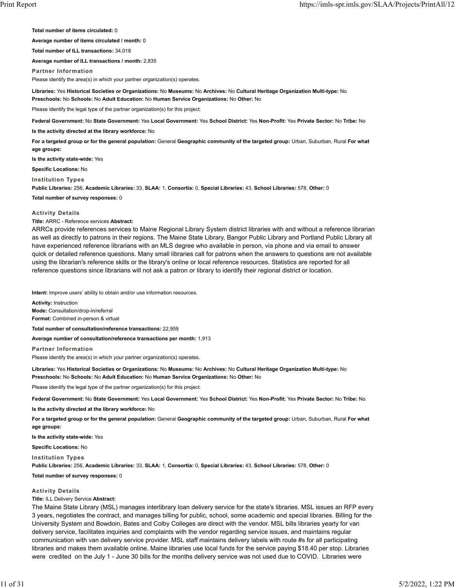**Total number of items circulated:** 0

**Average number of items circulated / month:** 0

**Total number of ILL transactions:** 34,018

**Average number of ILL transactions / month:** 2,835

**Partner Information**

Please identify the area(s) in which your partner organization(s) operates.

**Libraries:** Yes **Historical Societies or Organizations:** No **Museums:** No **Archives:** No **Cultural Heritage Organization Multi-type:** No **Preschools:** No **Schools:** No **Adult Education:** No **Human Service Organizations:** No **Other:** No

Please identify the legal type of the partner organization(s) for this project.

**Federal Government:** No **State Government:** Yes **Local Government:** Yes **School District:** Yes **Non-Profit:** Yes **Private Sector:** No **Tribe:** No

**Is the activity directed at the library workforce:** No

**For a targeted group or for the general population:** General **Geographic community of the targeted group:** Urban, Suburban, Rural **For what age groups:**

**Is the activity state-wide:** Yes

**Specific Locations:** No

**Institution Types**

**Public Libraries:** 256, **Academic Libraries:** 33, **SLAA:** 1, **Consortia:** 0, **Special Libraries:** 43, **School Libraries:** 578, **Other:** 0

**Total number of survey responses:** 0

#### **Activity Details**

**Title:** ARRC - Reference services **Abstract:**

ARRCs provide references services to Maine Regional Library System district libraries with and without a reference librarian as well as directly to patrons in their regions. The Maine State Library, Bangor Public Library and Portland Public Library all have experienced reference librarians with an MLS degree who available in person, via phone and via email to answer quick or detailed reference questions. Many small libraries call for patrons when the answers to questions are not available using the librarian's reference skills or the library's online or local reference resources. Statistics are reported for all reference questions since librarians will not ask a patron or library to identify their regional district or location.

**Intent:** Improve users' ability to obtain and/or use information resources.

**Activity:** Instruction **Mode:** Consultation/drop-in/referral **Format:** Combined in-person & virtual

**Total number of consultation/reference transactions:** 22,959

**Average number of consultation/reference transactions per month:** 1,913

**Partner Information** Please identify the area(s) in which your partner organization(s) operates.

**Libraries:** Yes **Historical Societies or Organizations:** No **Museums:** No **Archives:** No **Cultural Heritage Organization Multi-type:** No **Preschools:** No **Schools:** No **Adult Education:** No **Human Service Organizations:** No **Other:** No

Please identify the legal type of the partner organization(s) for this project.

**Federal Government:** No **State Government:** Yes **Local Government:** Yes **School District:** Yes **Non-Profit:** Yes **Private Sector:** No **Tribe:** No

**Is the activity directed at the library workforce:** No

**For a targeted group or for the general population:** General **Geographic community of the targeted group:** Urban, Suburban, Rural **For what age groups:**

**Is the activity state-wide:** Yes

**Specific Locations:** No

**Institution Types**

**Public Libraries:** 256, **Academic Libraries:** 33, **SLAA:** 1, **Consortia:** 0, **Special Libraries:** 43, **School Libraries:** 578, **Other:** 0

**Total number of survey responses:** 0

#### **Activity Details**

**Title:** ILL Delivery Service **Abstract:**

The Maine State Library (MSL) manages interlibrary loan delivery service for the state's libraries. MSL issues an RFP every 3 years, negotiates the contract, and manages billing for public, school, some academic and special libraries. Billing for the University System and Bowdoin, Bates and Colby Colleges are direct with the vendor. MSL bills libraries yearly for van delivery service, facilitates inquiries and complaints with the vendor regarding service issues, and maintains regular communication with van delivery service provider. MSL staff maintains delivery labels with route #s for all participating libraries and makes them available online. Maine libraries use local funds for the service paying \$18.40 per stop. Libraries were credited on the July 1 - June 30 bills for the months delivery service was not used due to COVID. Libraries were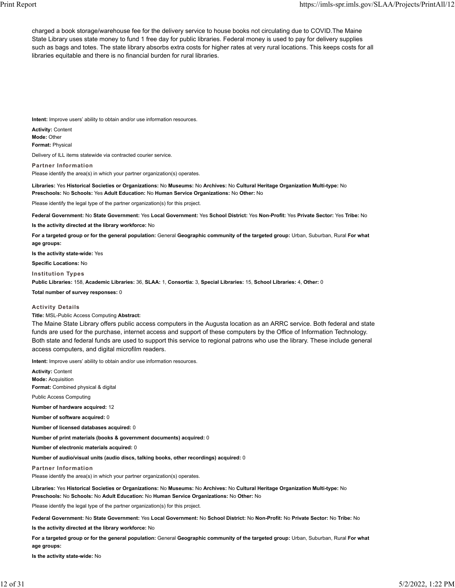charged a book storage/warehouse fee for the delivery service to house books not circulating due to COVID.The Maine State Library uses state money to fund 1 free day for public libraries. Federal money is used to pay for delivery supplies such as bags and totes. The state library absorbs extra costs for higher rates at very rural locations. This keeps costs for all libraries equitable and there is no financial burden for rural libraries.

**Intent:** Improve users' ability to obtain and/or use information resources.

**Activity:** Content **Mode:** Other **Format:** Physical

Delivery of ILL items statewide via contracted courier service.

**Partner Information** Please identify the area(s) in which your partner organization(s) operates.

**Libraries:** Yes **Historical Societies or Organizations:** No **Museums:** No **Archives:** No **Cultural Heritage Organization Multi-type:** No **Preschools:** No **Schools:** Yes **Adult Education:** No **Human Service Organizations:** No **Other:** No

Please identify the legal type of the partner organization(s) for this project.

**Federal Government:** No **State Government:** Yes **Local Government:** Yes **School District:** Yes **Non-Profit:** Yes **Private Sector:** Yes **Tribe:** No

**Is the activity directed at the library workforce:** No

**For a targeted group or for the general population:** General **Geographic community of the targeted group:** Urban, Suburban, Rural **For what age groups:**

**Is the activity state-wide:** Yes

**Specific Locations:** No

**Institution Types**

**Public Libraries:** 158, **Academic Libraries:** 36, **SLAA:** 1, **Consortia:** 3, **Special Libraries:** 15, **School Libraries:** 4, **Other:** 0

**Total number of survey responses:** 0

#### **Activity Details**

**Title:** MSL-Public Access Computing **Abstract:**

The Maine State Library offers public access computers in the Augusta location as an ARRC service. Both federal and state funds are used for the purchase, internet access and support of these computers by the Office of Information Technology. Both state and federal funds are used to support this service to regional patrons who use the library. These include general access computers, and digital microfilm readers.

**Intent:** Improve users' ability to obtain and/or use information resources.

**Activity:** Content **Mode:** Acquisition **Format:** Combined physical & digital Public Access Computing **Number of hardware acquired:** 12 **Number of software acquired:** 0 **Number of licensed databases acquired:** 0 **Number of print materials (books & government documents) acquired:** 0 **Number of electronic materials acquired:** 0 **Number of audio/visual units (audio discs, talking books, other recordings) acquired:** 0 **Partner Information** Please identify the area(s) in which your partner organization(s) operates. **Libraries:** Yes **Historical Societies or Organizations:** No **Museums:** No **Archives:** No **Cultural Heritage Organization Multi-type:** No **Preschools:** No **Schools:** No **Adult Education:** No **Human Service Organizations:** No **Other:** No Please identify the legal type of the partner organization(s) for this project. **Federal Government:** No **State Government:** Yes **Local Government:** No **School District:** No **Non-Profit:** No **Private Sector:** No **Tribe:** No **Is the activity directed at the library workforce:** No

**For a targeted group or for the general population:** General **Geographic community of the targeted group:** Urban, Suburban, Rural **For what age groups:**

**Is the activity state-wide:** No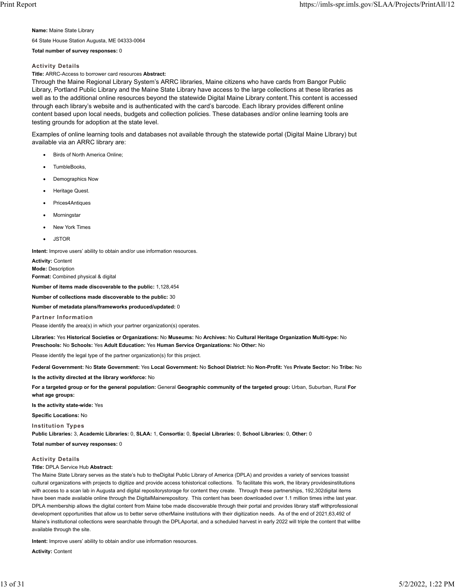**Name:** Maine State Library

64 State House Station Augusta, ME 04333-0064

#### **Total number of survey responses:** 0

### **Activity Details**

**Title:** ARRC-Access to borrower card resources **Abstract:**

Through the Maine Regional Library System's ARRC libraries, Maine citizens who have cards from Bangor Public Library, Portland Public Library and the Maine State Library have access to the large collections at these libraries as well as to the additional online resources beyond the statewide Digital Maine Library content.This content is accessed through each library's website and is authenticated with the card's barcode. Each library provides different online content based upon local needs, budgets and collection policies. These databases and/or online learning tools are testing grounds for adoption at the state level.

Examples of online learning tools and databases not available through the statewide portal (Digital Maine LIbrary) but available via an ARRC library are:

- Birds of North America Online;
- TumbleBooks,
- Demographics Now
- **Heritage Quest.**
- Prices4Antiques
- **Morningstar**
- New York Times
- **JSTOR**

**Intent:** Improve users' ability to obtain and/or use information resources.

**Activity:** Content **Mode:** Description **Format:** Combined physical & digital

**Number of items made discoverable to the public:** 1,128,454

**Number of collections made discoverable to the public:** 30

**Number of metadata plans/frameworks produced/updated:** 0

**Partner Information**

Please identify the area(s) in which your partner organization(s) operates.

**Libraries:** Yes **Historical Societies or Organizations:** No **Museums:** No **Archives:** No **Cultural Heritage Organization Multi-type:** No **Preschools:** No **Schools:** Yes **Adult Education:** Yes **Human Service Organizations:** No **Other:** No

Please identify the legal type of the partner organization(s) for this project.

**Federal Government:** No **State Government:** Yes **Local Government:** No **School District:** No **Non-Profit:** Yes **Private Sector:** No **Tribe:** No

**Is the activity directed at the library workforce:** No

**For a targeted group or for the general population:** General **Geographic community of the targeted group:** Urban, Suburban, Rural **For what age groups:**

**Is the activity state-wide:** Yes

**Specific Locations:** No

**Institution Types**

**Public Libraries:** 3, **Academic Libraries:** 0, **SLAA:** 1, **Consortia:** 0, **Special Libraries:** 0, **School Libraries:** 0, **Other:** 0

**Total number of survey responses:** 0

## **Activity Details**

## **Title:** DPLA Service Hub **Abstract:**

The Maine State Library serves as the state's hub to theDigital Public Library of America (DPLA) and provides a variety of services toassist cultural organizations with projects to digitize and provide access tohistorical collections. To facilitate this work, the library providesinstitutions with access to a scan lab in Augusta and digital repositorystorage for content they create. Through these partnerships, 192,302digital items have been made available online through the DigitalMainerepository. This content has been downloaded over 1.1 million times inthe last year. DPLA membership allows the digital content from Maine tobe made discoverable through their portal and provides library staff withprofessional development opportunities that allow us to better serve otherMaine institutions with their digitization needs. As of the end of 2021,63,492 of Maine's institutional collections were searchable through the DPLAportal, and a scheduled harvest in early 2022 will triple the content that willbe available through the site.

**Intent:** Improve users' ability to obtain and/or use information resources.

**Activity:** Content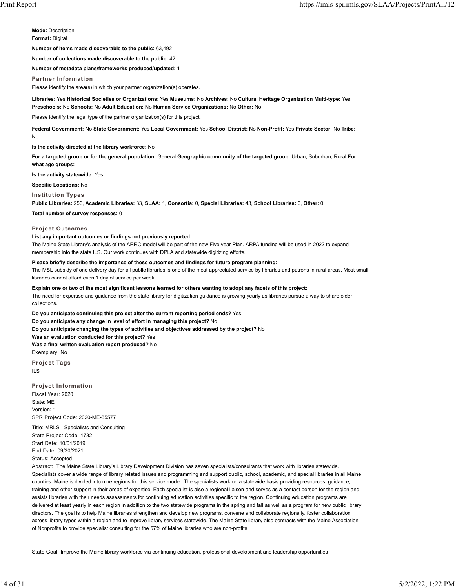**Mode:** Description **Format:** Digital

**Number of items made discoverable to the public:** 63,492

**Number of collections made discoverable to the public:** 42

**Number of metadata plans/frameworks produced/updated:** 1

**Partner Information**

Please identify the area(s) in which your partner organization(s) operates.

**Libraries:** Yes **Historical Societies or Organizations:** Yes **Museums:** No **Archives:** No **Cultural Heritage Organization Multi-type:** Yes **Preschools:** No **Schools:** No **Adult Education:** No **Human Service Organizations:** No **Other:** No

Please identify the legal type of the partner organization(s) for this project.

**Federal Government:** No **State Government:** Yes **Local Government:** Yes **School District:** No **Non-Profit:** Yes **Private Sector:** No **Tribe:** No

**Is the activity directed at the library workforce:** No

**For a targeted group or for the general population:** General **Geographic community of the targeted group:** Urban, Suburban, Rural **For what age groups:**

**Is the activity state-wide:** Yes

**Specific Locations:** No

**Institution Types**

**Public Libraries:** 256, **Academic Libraries:** 33, **SLAA:** 1, **Consortia:** 0, **Special Libraries:** 43, **School Libraries:** 0, **Other:** 0

**Total number of survey responses:** 0

#### **Project Outcomes**

#### **List any important outcomes or findings not previously reported:**

The Maine State Library's analysis of the ARRC model will be part of the new Five year Plan. ARPA funding will be used in 2022 to expand membership into the state ILS. Our work continues with DPLA and statewide digitizing efforts.

**Please briefly describe the importance of these outcomes and findings for future program planning:**

The MSL subsidy of one delivery day for all public libraries is one of the most appreciated service by libraries and patrons in rural areas. Most small libraries cannot afford even 1 day of service per week.

**Explain one or two of the most significant lessons learned for others wanting to adopt any facets of this project:**

The need for expertise and guidance from the state library for digitization guidance is growing yearly as libraries pursue a way to share older collections.

**Do you anticipate continuing this project after the current reporting period ends?** Yes **Do you anticipate any change in level of effort in managing this project?** No **Do you anticipate changing the types of activities and objectives addressed by the project?** No **Was an evaluation conducted for this project?** Yes **Was a final written evaluation report produced?** No Exemplary: No

**Project Tags**

ILS

#### **Project Information**

Fiscal Year: 2020 State: ME Version: 1 SPR Project Code: 2020-ME-85577

Title: MRLS - Specialists and Consulting State Project Code: 1732 Start Date: 10/01/2019 End Date: 09/30/2021 Status: Accepted

Abstract: The Maine State Library's Library Development Division has seven specialists/consultants that work with libraries statewide. Specialists cover a wide range of library related issues and programming and support public, school, academic, and special libraries in all Maine counties. Maine is divided into nine regions for this service model. The specialists work on a statewide basis providing resources, guidance, training and other support in their areas of expertise. Each specialist is also a regional liaison and serves as a contact person for the region and assists libraries with their needs assessments for continuing education activities specific to the region. Continuing education programs are delivered at least yearly in each region in addition to the two statewide programs in the spring and fall as well as a program for new public library directors. The goal is to help Maine libraries strengthen and develop new programs, convene and collaborate regionally, foster collaboration across library types within a region and to improve library services statewide. The Maine State library also contracts with the Maine Association of Nonprofits to provide specialist consulting for the 57% of Maine libraries who are non-profits

State Goal: Improve the Maine library workforce via continuing education, professional development and leadership opportunities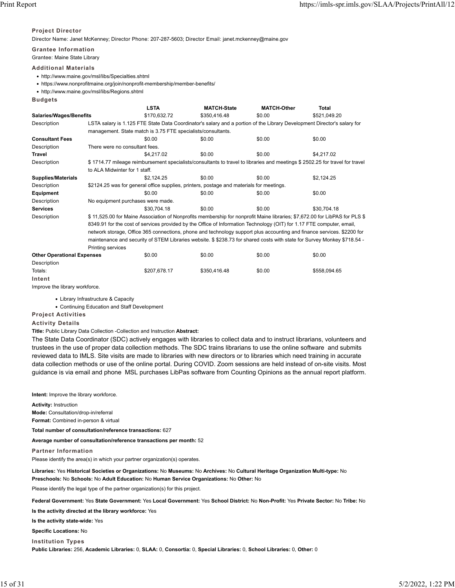#### **Project Director**

Director Name: Janet McKenney; Director Phone: 207-287-5603; Director Email: janet.mckenney@maine.gov

**Grantee Information**

Grantee: Maine State Library

## **Additional Materials**

- http://www.maine.gov/msl/libs/Specialties.shtml
- https://www.nonprofitmaine.org/join/nonprofit-membership/member-benefits/
- http://www.maine.gov/msl/libs/Regions.shtml
- **Budgets**

|                                   |                                                                                                                          | <b>LSTA</b>                                                                                                             | <b>MATCH-State</b>                                                                                                    | <b>MATCH-Other</b> | Total                                                                                                                       |  |  |  |
|-----------------------------------|--------------------------------------------------------------------------------------------------------------------------|-------------------------------------------------------------------------------------------------------------------------|-----------------------------------------------------------------------------------------------------------------------|--------------------|-----------------------------------------------------------------------------------------------------------------------------|--|--|--|
| <b>Salaries/Wages/Benefits</b>    |                                                                                                                          | \$170.632.72                                                                                                            | \$350,416.48                                                                                                          | \$0.00             | \$521.049.20                                                                                                                |  |  |  |
| Description                       |                                                                                                                          | LSTA salary is 1.125 FTE State Data Coordinator's salary and a portion of the Library Development Director's salary for |                                                                                                                       |                    |                                                                                                                             |  |  |  |
|                                   |                                                                                                                          | management. State match is 3.75 FTE specialists/consultants.                                                            |                                                                                                                       |                    |                                                                                                                             |  |  |  |
| <b>Consultant Fees</b>            |                                                                                                                          | \$0.00                                                                                                                  | \$0.00                                                                                                                | \$0.00             | \$0.00                                                                                                                      |  |  |  |
| Description                       | There were no consultant fees.                                                                                           |                                                                                                                         |                                                                                                                       |                    |                                                                                                                             |  |  |  |
| <b>Travel</b>                     |                                                                                                                          | \$4,217.02                                                                                                              | \$0.00                                                                                                                | \$0.00             | \$4,217.02                                                                                                                  |  |  |  |
| Description                       |                                                                                                                          |                                                                                                                         |                                                                                                                       |                    | \$1714.77 mileage reimbursement specialists/consultants to travel to libraries and meetings \$2502.25 for travel for travel |  |  |  |
|                                   | to ALA Midwinter for 1 staff.                                                                                            |                                                                                                                         |                                                                                                                       |                    |                                                                                                                             |  |  |  |
| <b>Supplies/Materials</b>         |                                                                                                                          | \$2,124.25                                                                                                              | \$0.00                                                                                                                | \$0.00             | \$2,124.25                                                                                                                  |  |  |  |
| Description                       |                                                                                                                          |                                                                                                                         | \$2124.25 was for general office supplies, printers, postage and materials for meetings.                              |                    |                                                                                                                             |  |  |  |
| Equipment                         |                                                                                                                          | \$0.00                                                                                                                  | \$0.00                                                                                                                | \$0.00             | \$0.00                                                                                                                      |  |  |  |
| Description                       | No equipment purchases were made.                                                                                        |                                                                                                                         |                                                                                                                       |                    |                                                                                                                             |  |  |  |
| <b>Services</b>                   |                                                                                                                          | \$30.704.18                                                                                                             | \$0.00                                                                                                                | \$0.00             | \$30,704.18                                                                                                                 |  |  |  |
| Description                       |                                                                                                                          |                                                                                                                         |                                                                                                                       |                    | \$11,525.00 for Maine Association of Nonprofits membership for nonprofit Maine libraries; \$7,672.00 for LibPAS for PLS \$  |  |  |  |
|                                   |                                                                                                                          |                                                                                                                         | 8349.91 for the cost of services provided by the Office of Information Technology (OIT) for 1.17 FTE computer, email, |                    |                                                                                                                             |  |  |  |
|                                   | network storage, Office 365 connections, phone and technology support plus accounting and finance services. \$2200 for   |                                                                                                                         |                                                                                                                       |                    |                                                                                                                             |  |  |  |
|                                   | maintenance and security of STEM Libraries website. \$ \$238.73 for shared costs with state for Survey Monkey \$718.54 - |                                                                                                                         |                                                                                                                       |                    |                                                                                                                             |  |  |  |
|                                   | Printing services                                                                                                        |                                                                                                                         |                                                                                                                       |                    |                                                                                                                             |  |  |  |
| <b>Other Operational Expenses</b> |                                                                                                                          | \$0.00                                                                                                                  | \$0.00                                                                                                                | \$0.00             | \$0.00                                                                                                                      |  |  |  |
| Description                       |                                                                                                                          |                                                                                                                         |                                                                                                                       |                    |                                                                                                                             |  |  |  |
| Totals:                           |                                                                                                                          | \$207,678.17                                                                                                            | \$350,416.48                                                                                                          | \$0.00             | \$558,094.65                                                                                                                |  |  |  |

**Intent**

Improve the library workforce.

• Library Infrastructure & Capacity

• Continuing Education and Staff Development

**Project Activities**

**Activity Details**

**Title:** Public Library Data Collection -Collection and Instruction **Abstract:**

The State Data Coordinator (SDC) actively engages with libraries to collect data and to instruct librarians, volunteers and trustees in the use of proper data collection methods. The SDC trains librarians to use the online software and submits reviewed data to IMLS. Site visits are made to libraries with new directors or to libraries which need training in accurate data collection methods or use of the online portal. During COVID. Zoom sessions are held instead of on-site visits. Most guidance is via email and phone MSL purchases LibPas software from Counting Opinions as the annual report platform.

**Intent:** Improve the library workforce.

**Activity:** Instruction **Mode:** Consultation/drop-in/referral **Format:** Combined in-person & virtual

**Total number of consultation/reference transactions:** 627

**Average number of consultation/reference transactions per month:** 52

**Partner Information**

Please identify the area(s) in which your partner organization(s) operates.

**Libraries:** Yes **Historical Societies or Organizations:** No **Museums:** No **Archives:** No **Cultural Heritage Organization Multi-type:** No **Preschools:** No **Schools:** No **Adult Education:** No **Human Service Organizations:** No **Other:** No

Please identify the legal type of the partner organization(s) for this project.

**Federal Government:** Yes **State Government:** Yes **Local Government:** Yes **School District:** No **Non-Profit:** Yes **Private Sector:** No **Tribe:** No

**Is the activity directed at the library workforce:** Yes

**Is the activity state-wide:** Yes

**Specific Locations:** No

**Institution Types**

**Public Libraries:** 256, **Academic Libraries:** 0, **SLAA:** 0, **Consortia:** 0, **Special Libraries:** 0, **School Libraries:** 0, **Other:** 0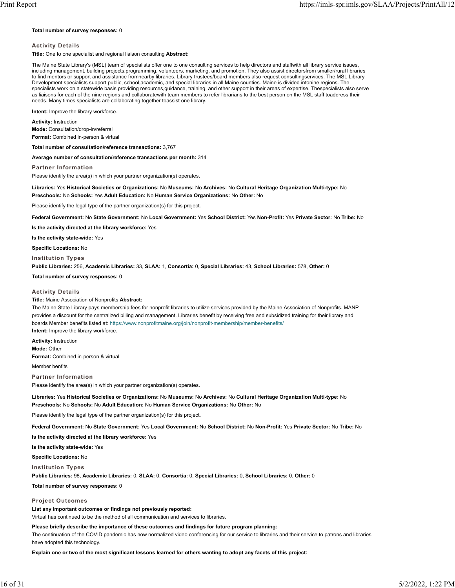#### **Total number of survey responses:** 0

#### **Activity Details**

**Title:** One to one specialist and regional liaison consulting **Abstract:**

The Maine State Library's (MSL) team of specialists offer one to one consulting services to help directors and staffwith all library service issues, including management, building projects,programming, volunteers, marketing, and promotion. They also assist directorsfrom smaller/rural libraries to find mentors or support and assistance fromnearby libraries. Library trustees/board members also request consultingservices. The MSL Library Development specialists support public, school,academic, and special libraries in all Maine counties. Maine is divided intonine regions. The specialists work on a statewide basis providing resources,guidance, training, and other support in their areas of expertise. Thespecialists also serve as liaisons for each of the nine regions and collaboratewith team members to refer librarians to the best person on the MSL staff toaddress their needs. Many times specialists are collaborating together toassist one library.

**Intent:** Improve the library workforce.

#### **Activity:** Instruction

**Mode:** Consultation/drop-in/referral **Format:** Combined in-person & virtual

# **Total number of consultation/reference transactions:** 3,767

**Average number of consultation/reference transactions per month:** 314

**Partner Information**

Please identify the area(s) in which your partner organization(s) operates.

# **Libraries:** Yes **Historical Societies or Organizations:** No **Museums:** No **Archives:** No **Cultural Heritage Organization Multi-type:** No

**Preschools:** No **Schools:** Yes **Adult Education:** No **Human Service Organizations:** No **Other:** No

Please identify the legal type of the partner organization(s) for this project.

**Federal Government:** No **State Government:** No **Local Government:** Yes **School District:** Yes **Non-Profit:** Yes **Private Sector:** No **Tribe:** No

**Is the activity directed at the library workforce:** Yes

**Is the activity state-wide:** Yes

**Specific Locations:** No

**Institution Types**

**Public Libraries:** 256, **Academic Libraries:** 33, **SLAA:** 1, **Consortia:** 0, **Special Libraries:** 43, **School Libraries:** 578, **Other:** 0

**Total number of survey responses:** 0

#### **Activity Details**

**Title:** Maine Association of Nonprofits **Abstract:**

The Maine State Library pays membership fees for nonprofit libraries to utilize services provided by the Maine Association of Nonprofits. MANP provides a discount for the centralized billing and management. Libraries benefit by receiving free and subsidized training for their library and boards Member benefits listed at:<https://www.nonprofitmaine.org/join/nonprofit-membership/member-benefits/> **Intent:** Improve the library workforce.

**Activity:** Instruction **Mode:** Other **Format:** Combined in-person & virtual

Member benfits

#### **Partner Information**

Please identify the area(s) in which your partner organization(s) operates.

**Libraries:** Yes **Historical Societies or Organizations:** No **Museums:** No **Archives:** No **Cultural Heritage Organization Multi-type:** No **Preschools:** No **Schools:** No **Adult Education:** No **Human Service Organizations:** No **Other:** No

Please identify the legal type of the partner organization(s) for this project.

**Federal Government:** No **State Government:** Yes **Local Government:** No **School District:** No **Non-Profit:** Yes **Private Sector:** No **Tribe:** No

**Is the activity directed at the library workforce:** Yes

**Is the activity state-wide:** Yes

**Specific Locations:** No

**Institution Types**

**Public Libraries:** 98, **Academic Libraries:** 0, **SLAA:** 0, **Consortia:** 0, **Special Libraries:** 0, **School Libraries:** 0, **Other:** 0

**Total number of survey responses:** 0

#### **Project Outcomes**

**List any important outcomes or findings not previously reported:** Virtual has continued to be the method of all communication and services to libraries.

#### **Please briefly describe the importance of these outcomes and findings for future program planning:**

The continuation of the COVID pandemic has now normalized video conferencing for our service to libraries and their service to patrons and libraries have adopted this technology.

**Explain one or two of the most significant lessons learned for others wanting to adopt any facets of this project:**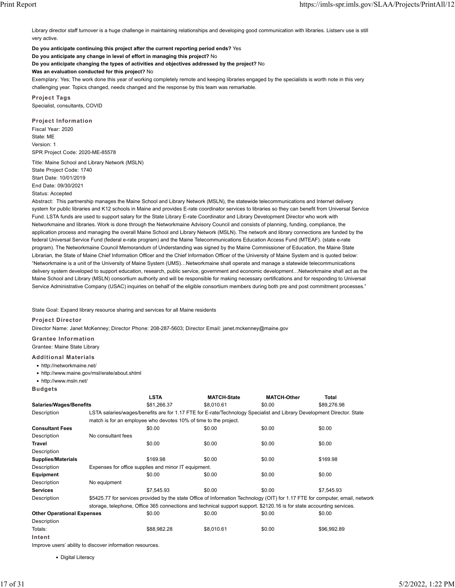Library director staff turnover is a huge challenge in maintaining relationships and developing good communication with libraries. Listserv use is still very active.

**Do you anticipate continuing this project after the current reporting period ends?** Yes

**Do you anticipate any change in level of effort in managing this project?** No

**Do you anticipate changing the types of activities and objectives addressed by the project?** No

**Was an evaluation conducted for this project?** No

Exemplary: Yes; The work done this year of working completely remote and keeping libraries engaged by the specialists is worth note in this very challenging year. Topics changed, needs changed and the response by this team was remarkable.

**Project Tags** Specialist, consultants, COVID

**Project Information** Fiscal Year: 2020 State: ME Version: 1 SPR Project Code: 2020-ME-85578

Title: Maine School and Library Network (MSLN) State Project Code: 1740 Start Date: 10/01/2019 End Date: 09/30/2021 Status: Accepted

Abstract: This partnership manages the Maine School and Library Network (MSLN), the statewide telecommunications and Internet delivery system for public libraries and K12 schools in Maine and provides E-rate coordinator services to libraries so they can benefit from Universal Service Fund. LSTA funds are used to support salary for the State Library E-rate Coordinator and Library Development Director who work with Networkmaine and libraries. Work is done through the Networkmaine Advisory Council and consists of planning, funding, compliance, the application process and managing the overall Maine School and Library Network (MSLN). The network and library connections are funded by the federal Universal Service Fund (federal e-rate program) and the Maine Telecommunications Education Access Fund (MTEAF). (state e-rate program). The Networkmaine Council Memorandum of Understanding was signed by the Maine Commissioner of Education, the Maine State Librarian, the State of Maine Chief Information Officer and the Chief Information Officer of the University of Maine System and is quoted below: "Networkmaine is a unit of the University of Maine System (UMS)…Networkmaine shall operate and manage a statewide telecommunications delivery system developed to support education, research, public service, government and economic development…Networkmaine shall act as the Maine School and Library (MSLN) consortium authority and will be responsible for making necessary certifications and for responding to Universal Service Administrative Company (USAC) inquiries on behalf of the eligible consortium members during both pre and post commitment processes."

State Goal: Expand library resource sharing and services for all Maine residents

**Project Director**

Director Name: Janet McKenney; Director Phone: 208-287-5603; Director Email: janet.mckenney@maine.gov

**Grantee Information**

Grantee: Maine State Library

**Additional Materials**

- http://networkmaine.net/
- http://www.maine.gov/msl/erate/about.shtml

• http://www.msln.net/

**Budgets**

**Intent**

|                                   |                    | <b>LSTA</b>                                                                                                            | <b>MATCH-State</b>                                                                                                    | <b>MATCH-Other</b> | Total                                                                                                                         |  |  |
|-----------------------------------|--------------------|------------------------------------------------------------------------------------------------------------------------|-----------------------------------------------------------------------------------------------------------------------|--------------------|-------------------------------------------------------------------------------------------------------------------------------|--|--|
| <b>Salaries/Wages/Benefits</b>    |                    | \$81,266.37                                                                                                            | \$8.010.61                                                                                                            | \$0.00             | \$89,276.98                                                                                                                   |  |  |
| Description                       |                    | LSTA salaries/wages/benefits are for 1.17 FTE for E-rate/Technology Specialist and Library Development Director. State |                                                                                                                       |                    |                                                                                                                               |  |  |
|                                   |                    |                                                                                                                        | match is for an employee who devotes 10% of time to the project.                                                      |                    |                                                                                                                               |  |  |
| <b>Consultant Fees</b>            |                    | \$0.00                                                                                                                 | \$0.00                                                                                                                | \$0.00             | \$0.00                                                                                                                        |  |  |
| Description                       | No consultant fees |                                                                                                                        |                                                                                                                       |                    |                                                                                                                               |  |  |
| Travel                            |                    | \$0.00                                                                                                                 | \$0.00                                                                                                                | \$0.00             | \$0.00                                                                                                                        |  |  |
| Description                       |                    |                                                                                                                        |                                                                                                                       |                    |                                                                                                                               |  |  |
| <b>Supplies/Materials</b>         |                    | \$169.98                                                                                                               | \$0.00                                                                                                                | \$0.00             | \$169.98                                                                                                                      |  |  |
| Description                       |                    | Expenses for office supplies and minor IT equipment.                                                                   |                                                                                                                       |                    |                                                                                                                               |  |  |
| <b>Equipment</b>                  |                    | \$0.00                                                                                                                 | \$0.00                                                                                                                | \$0.00             | \$0.00                                                                                                                        |  |  |
| Description                       | No equipment       |                                                                                                                        |                                                                                                                       |                    |                                                                                                                               |  |  |
| <b>Services</b>                   |                    | \$7.545.93                                                                                                             | \$0.00                                                                                                                | \$0.00             | \$7.545.93                                                                                                                    |  |  |
| Description                       |                    |                                                                                                                        |                                                                                                                       |                    | \$5425.77 for services provided by the state Office of Information Technology (OIT) for 1.17 FTE for computer, email, network |  |  |
|                                   |                    |                                                                                                                        | storage, telephone, Office 365 connections and technical support support. \$2120.16 is for state accounting services. |                    |                                                                                                                               |  |  |
| <b>Other Operational Expenses</b> |                    | \$0.00                                                                                                                 | \$0.00                                                                                                                | \$0.00             | \$0.00                                                                                                                        |  |  |
| Description                       |                    |                                                                                                                        |                                                                                                                       |                    |                                                                                                                               |  |  |
| Totals:                           |                    | \$88.982.28                                                                                                            | \$8,010.61                                                                                                            | \$0.00             | \$96.992.89                                                                                                                   |  |  |

Improve users' ability to discover information resources.

• Digital Literacy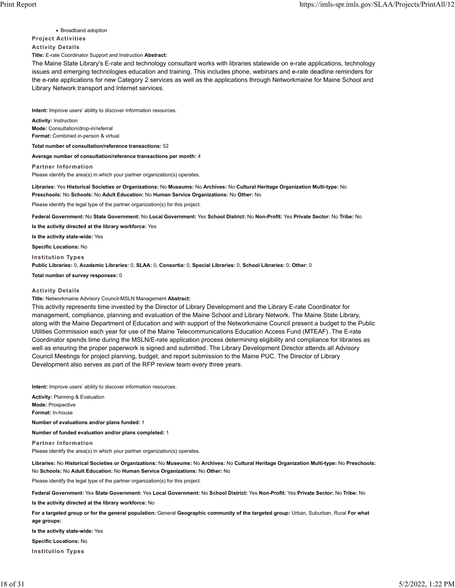• Broadband adoption

#### **Project Activities**

**Activity Details**

**Title:** E-rate Coordinator Support and Instruction **Abstract:**

The Maine State Library's E-rate and technology consultant works with libraries statewide on e-rate applications, technology issues and emerging technologies education and training. This includes phone, webinars and e-rate deadline reminders for the e-rate applications for new Category 2 services as well as the applications through Networkmaine for Maine School and Library Network transport and Internet services.

**Intent:** Improve users' ability to discover information resources.

**Activity:** Instruction **Mode:** Consultation/drop-in/referral **Format:** Combined in-person & virtual

**Total number of consultation/reference transactions:** 52

**Average number of consultation/reference transactions per month:** 4

**Partner Information**

Please identify the area(s) in which your partner organization(s) operates.

**Libraries:** Yes **Historical Societies or Organizations:** No **Museums:** No **Archives:** No **Cultural Heritage Organization Multi-type:** No **Preschools:** No **Schools:** No **Adult Education:** No **Human Service Organizations:** No **Other:** No

Please identify the legal type of the partner organization(s) for this project.

**Federal Government:** No **State Government:** No **Local Government:** Yes **School District:** No **Non-Profit:** Yes **Private Sector:** No **Tribe:** No

**Is the activity directed at the library workforce:** Yes

**Is the activity state-wide:** Yes

**Specific Locations:** No

**Institution Types**

**Public Libraries:** 0, **Academic Libraries:** 0, **SLAA:** 0, **Consortia:** 0, **Special Libraries:** 0, **School Libraries:** 0, **Other:** 0

**Total number of survey responses:** 0

### **Activity Details**

**Title:** Networkmaine Advisory Council-MSLN Management **Abstract:**

This activity represents time invested by the Director of Library Development and the Library E-rate Coordinator for management, compliance, planning and evaluation of the Maine School and Library Network. The Maine State Library, along with the Maine Department of Education and with support of the Networkmaine Council present a budget to the Public Utilities Commission each year for use of the Maine Telecommunications Education Access Fund (MTEAF) .The E-rate Coordinator spends time during the MSLN/E-rate application process determining eligibility and compliance for libraries as well as ensuring the proper paperwork is signed and submitted. The Library Development Director attends all Advisory Council Meetings for project planning, budget, and report submission to the Maine PUC. The Director of Library Development also serves as part of the RFP review team every three years.

**Intent:** Improve users' ability to discover information resources.

**Activity:** Planning & Evaluation **Mode:** Prospective **Format:** In-house

**Number of evaluations and/or plans funded:** 1

**Number of funded evaluation and/or plans completed:** 1

**Partner Information**

Please identify the area(s) in which your partner organization(s) operates.

**Libraries:** No **Historical Societies or Organizations:** No **Museums:** No **Archives:** No **Cultural Heritage Organization Multi-type:** No **Preschools:** No **Schools:** No **Adult Education:** No **Human Service Organizations:** No **Other:** No

Please identify the legal type of the partner organization(s) for this project.

**Federal Government:** Yes **State Government:** Yes **Local Government:** No **School District:** Yes **Non-Profit:** Yes **Private Sector:** No **Tribe:** No

**Is the activity directed at the library workforce:** No

**For a targeted group or for the general population:** General **Geographic community of the targeted group:** Urban, Suburban, Rural **For what age groups:**

**Is the activity state-wide:** Yes

**Specific Locations:** No

**Institution Types**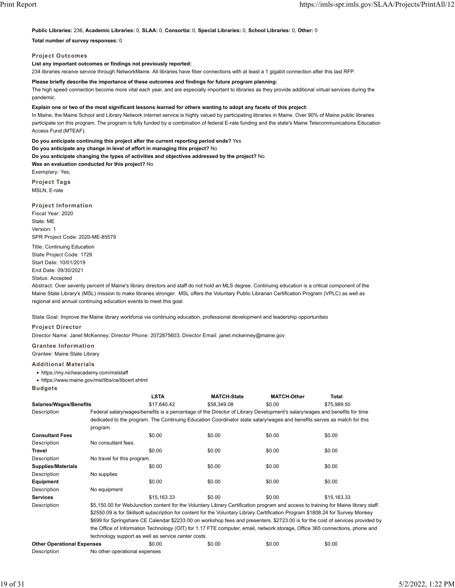**Public Libraries:** 236, **Academic Libraries:** 0, **SLAA:** 0, **Consortia:** 0, **Special Libraries:** 0, **School Libraries:** 0, **Other:** 0

**Total number of survey responses:** 0

**Project Outcomes**

**List any important outcomes or findings not previously reported:**

234 libraries receive service through NetworkMaine. All libraries have fiber connections with at least a 1 gigabit connection after this last RFP.

**Please briefly describe the importance of these outcomes and findings for future program planning:**

The high speed connection become more vital each year, and are especially important to libraries as they provide additional virtual services during the pandemic.

**Explain one or two of the most significant lessons learned for others wanting to adopt any facets of this project:**

In Maine, the Maine School and Library Network internet service is highly valued by participating libraries in Maine. Over 90% of Maine public libraries participate ion this program. The program is fully funded by a combination of federal E-rate funding and the state's Maine Telecommunications Education Access Fund (MTEAF).

**Do you anticipate continuing this project after the current reporting period ends?** Yes

**Do you anticipate any change in level of effort in managing this project?** No

**Do you anticipate changing the types of activities and objectives addressed by the project?** No **Was an evaluation conducted for this project?** No

Exemplary: Yes; **Project Tags**

MSLN, E-rate

**Project Information** Fiscal Year: 2020 State: ME Version: 1 SPR Project Code: 2020-ME-85579

Title: Continuing Education State Project Code: 1729 Start Date: 10/01/2019 End Date: 09/30/2021 Status: Accepted

Abstract: Over seventy percent of Maine's library directors and staff do not hold an MLS degree. Continuing education is a critical component of the Maine State Library's (MSL) mission to make libraries stronger. MSL offers the Voluntary Public Librarian Certification Program (VPLC) as well as regional and annual continuing education events to meet this goal.

State Goal: Improve the Maine library workforce via continuing education, professional development and leadership opportunities

**Project Director**

Director Name: Janet McKenney; Director Phone: 2072875603; Director Email: janet.mckenney@maine.gov

**Grantee Information**

Grantee: Maine State Library

**Additional Materials**

• https://my.nicheacademy.com/mslstaff

• https://www.maine.gov/msl/libs/ce/libcert.shtml

**Budgets**

|                                   |                               | <b>LSTA</b>                                                                                                                        | <b>MATCH-State</b>                                                                                                      | <b>MATCH-Other</b> | <b>Total</b> |  |  |  |
|-----------------------------------|-------------------------------|------------------------------------------------------------------------------------------------------------------------------------|-------------------------------------------------------------------------------------------------------------------------|--------------------|--------------|--|--|--|
| <b>Salaries/Wages/Benefits</b>    |                               | \$17,640.42                                                                                                                        | \$58,349.08                                                                                                             | \$0.00             | \$75,989.50  |  |  |  |
| Description                       |                               | Federal salary/wages/benefits is a percentage of the Director of Library Development's salary/wages and benefits for time          |                                                                                                                         |                    |              |  |  |  |
|                                   |                               |                                                                                                                                    | dedicated to the program. The Continuing Education Coordinator state salary/wages and benefits serves as match for this |                    |              |  |  |  |
|                                   | program.                      |                                                                                                                                    |                                                                                                                         |                    |              |  |  |  |
| <b>Consultant Fees</b>            |                               | \$0.00                                                                                                                             | \$0.00                                                                                                                  | \$0.00             | \$0.00       |  |  |  |
| Description                       | No consultant fees.           |                                                                                                                                    |                                                                                                                         |                    |              |  |  |  |
| <b>Travel</b>                     |                               | \$0.00                                                                                                                             | \$0.00                                                                                                                  | \$0.00             | \$0.00       |  |  |  |
| Description                       | No travel for this program.   |                                                                                                                                    |                                                                                                                         |                    |              |  |  |  |
| <b>Supplies/Materials</b>         |                               | \$0.00                                                                                                                             | \$0.00                                                                                                                  | \$0.00             | \$0.00       |  |  |  |
| Description                       | No supplies                   |                                                                                                                                    |                                                                                                                         |                    |              |  |  |  |
| <b>Equipment</b>                  |                               | \$0.00                                                                                                                             | \$0.00                                                                                                                  | \$0.00             | \$0.00       |  |  |  |
| Description                       | No equipment                  |                                                                                                                                    |                                                                                                                         |                    |              |  |  |  |
| <b>Services</b>                   |                               | \$15.163.33                                                                                                                        | \$0.00                                                                                                                  | \$0.00             | \$15.163.33  |  |  |  |
| Description                       |                               | \$5,150.00 for WebJunction content for the Voluntary Library Certification program and access to training for Maine library staff. |                                                                                                                         |                    |              |  |  |  |
|                                   |                               | \$2550.09 is for Skillsoft subscription for content for the Voluntary Library Certification Program \$1808.24 for Survey Monkey    |                                                                                                                         |                    |              |  |  |  |
|                                   |                               | \$699 for Springshare CE Calendar \$2233.00 on workshop fees and presenters. \$2723.00 is for the cost of services provided by     |                                                                                                                         |                    |              |  |  |  |
|                                   |                               | the Office of Information Technology (OIT) for 1.17 FTE computer, email, network storage, Office 365 connections, phone and        |                                                                                                                         |                    |              |  |  |  |
|                                   |                               | technology support as well as service center costs.                                                                                |                                                                                                                         |                    |              |  |  |  |
| <b>Other Operational Expenses</b> |                               | \$0.00                                                                                                                             | \$0.00                                                                                                                  | \$0.00             | \$0.00       |  |  |  |
| Description                       | No other operational expenses |                                                                                                                                    |                                                                                                                         |                    |              |  |  |  |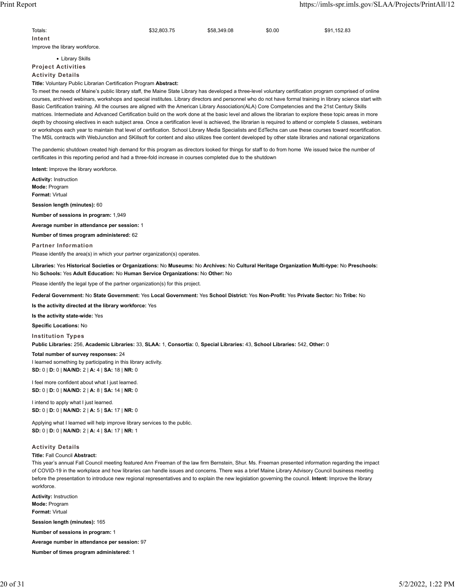| Totals:                        | \$32,803.75 | \$58,349.08 | \$0.00 | \$91,152.83 |
|--------------------------------|-------------|-------------|--------|-------------|
| Intent                         |             |             |        |             |
| Improve the library workforce. |             |             |        |             |

• Library Skills **Project Activities**

**Activity Details**

**Title:** Voluntary Public Librarian Certification Program **Abstract:**

To meet the needs of Maine's public library staff, the Maine State Library has developed a three-level voluntary certification program comprised of online courses, archived webinars, workshops and special institutes. Library directors and personnel who do not have formal training in library science start with Basic Certification training. All the courses are aligned with the American Library Association(ALA) Core Competencies and the 21st Century Skills matrices. Intermediate and Advanced Certification build on the work done at the basic level and allows the librarian to explore these topic areas in more depth by choosing electives in each subject area. Once a certification level is achieved, the librarian is required to attend or complete 5 classes, webinars or workshops each year to maintain that level of certification. School Library Media Specialists and EdTechs can use these courses toward recertification. The MSL contracts with WebJunction and SKillsoft for content and also utilizes free content developed by other state libraries and national organizations

The pandemic shutdown created high demand for this program as directors looked for things for staff to do from home We issued twice the number of certificates in this reporting period and had a three-fold increase in courses completed due to the shutdown

**Intent:** Improve the library workforce.

**Activity:** Instruction **Mode:** Program **Format:** Virtual

**Session length (minutes):** 60

**Number of sessions in program:** 1,949

**Average number in attendance per session:** 1

**Number of times program administered:** 62

**Partner Information** Please identify the area(s) in which your partner organization(s) operates.

**Libraries:** Yes **Historical Societies or Organizations:** No **Museums:** No **Archives:** No **Cultural Heritage Organization Multi-type:** No **Preschools:** No **Schools:** Yes **Adult Education:** No **Human Service Organizations:** No **Other:** No

Please identify the legal type of the partner organization(s) for this project.

**Federal Government:** No **State Government:** Yes **Local Government:** Yes **School District:** Yes **Non-Profit:** Yes **Private Sector:** No **Tribe:** No

**Is the activity directed at the library workforce:** Yes

**Is the activity state-wide:** Yes

**Specific Locations:** No

**Institution Types**

**Public Libraries:** 256, **Academic Libraries:** 33, **SLAA:** 1, **Consortia:** 0, **Special Libraries:** 43, **School Libraries:** 542, **Other:** 0

## **Total number of survey responses:** 24

I learned something by participating in this library activity. **SD:** 0 | **D:** 0 | **NA/ND:** 2 | **A:** 4 | **SA:** 18 | **NR:** 0

I feel more confident about what I just learned. **SD:** 0 | **D:** 0 | **NA/ND:** 2 | **A:** 8 | **SA:** 14 | **NR:** 0

I intend to apply what I just learned. **SD:** 0 | **D:** 0 | **NA/ND:** 2 | **A:** 5 | **SA:** 17 | **NR:** 0

Applying what I learned will help improve library services to the public. **SD:** 0 | **D:** 0 | **NA/ND:** 2 | **A:** 4 | **SA:** 17 | **NR:** 1

### **Activity Details**

#### **Title:** Fall Council **Abstract:**

This year's annual Fall Council meeting featured Ann Freeman of the law firm Bernstein, Shur. Ms. Freeman presented information regarding the impact of COVID-19 in the workplace and how libraries can handle issues and concerns. There was a brief Maine Library Advisory Council business meeting before the presentation to introduce new regional representatives and to explain the new legislation governing the council. **Intent:** Improve the library workforce.

**Activity:** Instruction **Mode:** Program **Format:** Virtual **Session length (minutes):** 165 **Number of sessions in program:** 1 **Average number in attendance per session:** 97 **Number of times program administered:** 1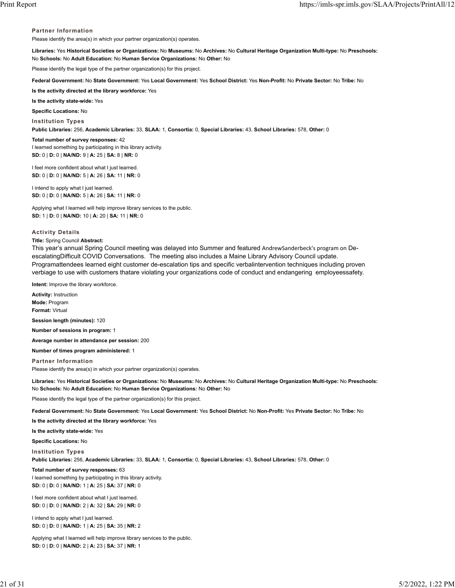#### **Partner Information**

Please identify the area(s) in which your partner organization(s) operates.

**Libraries:** Yes **Historical Societies or Organizations:** No **Museums:** No **Archives:** No **Cultural Heritage Organization Multi-type:** No **Preschools:** No **Schools:** No **Adult Education:** No **Human Service Organizations:** No **Other:** No

Please identify the legal type of the partner organization(s) for this project.

**Federal Government:** No **State Government:** Yes **Local Government:** Yes **School District:** Yes **Non-Profit:** No **Private Sector:** No **Tribe:** No

**Is the activity directed at the library workforce:** Yes

**Is the activity state-wide:** Yes

**Specific Locations:** No

**Institution Types**

**Public Libraries:** 256, **Academic Libraries:** 33, **SLAA:** 1, **Consortia:** 0, **Special Libraries:** 43, **School Libraries:** 578, **Other:** 0

**Total number of survey responses:** 42 I learned something by participating in this library activity. **SD:** 0 | **D:** 0 | **NA/ND:** 9 | **A:** 25 | **SA:** 8 | **NR:** 0

I feel more confident about what I just learned. **SD:** 0 | **D:** 0 | **NA/ND:** 5 | **A:** 26 | **SA:** 11 | **NR:** 0

I intend to apply what I just learned. **SD:** 0 | **D:** 0 | **NA/ND:** 5 | **A:** 26 | **SA:** 11 | **NR:** 0

Applying what I learned will help improve library services to the public. **SD:** 1 | **D:** 0 | **NA/ND:** 10 | **A:** 20 | **SA:** 11 | **NR:** 0

#### **Activity Details**

#### **Title:** Spring Council **Abstract:**

This year's annual Spring Council meeting was delayed into Summer and featured AndrewSanderbeck's program on DeescalatingDifficult COVID Conversations. The meeting also includes a Maine Library Advisory Council update. Programattendees learned eight customer de-escalation tips and specific verbalintervention techniques including proven verbiage to use with customers thatare violating your organizations code of conduct and endangering employeessafety.

**Intent:** Improve the library workforce.

**Activity:** Instruction **Mode:** Program **Format:** Virtual

**Session length (minutes):** 120

**Number of sessions in program:** 1

**Average number in attendance per session:** 200

**Number of times program administered:** 1

**Partner Information** Please identify the area(s) in which your partner organization(s) operates.

**Libraries:** Yes **Historical Societies or Organizations:** No **Museums:** No **Archives:** No **Cultural Heritage Organization Multi-type:** No **Preschools:** No **Schools:** No **Adult Education:** No **Human Service Organizations:** No **Other:** No

Please identify the legal type of the partner organization(s) for this project.

**Federal Government:** No **State Government:** Yes **Local Government:** Yes **School District:** No **Non-Profit:** Yes **Private Sector:** No **Tribe:** No

**Is the activity directed at the library workforce:** Yes

**Is the activity state-wide:** Yes

**Specific Locations:** No

**Institution Types**

**Public Libraries:** 256, **Academic Libraries:** 33, **SLAA:** 1, **Consortia:** 0, **Special Libraries:** 43, **School Libraries:** 578, **Other:** 0

**Total number of survey responses:** 63 I learned something by participating in this library activity. **SD:** 0 | **D:** 0 | **NA/ND:** 1 | **A:** 25 | **SA:** 37 | **NR:** 0

I feel more confident about what I just learned. **SD:** 0 | **D:** 0 | **NA/ND:** 2 | **A:** 32 | **SA:** 29 | **NR:** 0

I intend to apply what I just learned. **SD:** 0 | **D:** 0 | **NA/ND:** 1 | **A:** 25 | **SA:** 35 | **NR:** 2

Applying what I learned will help improve library services to the public. **SD:** 0 | **D:** 0 | **NA/ND:** 2 | **A:** 23 | **SA:** 37 | **NR:** 1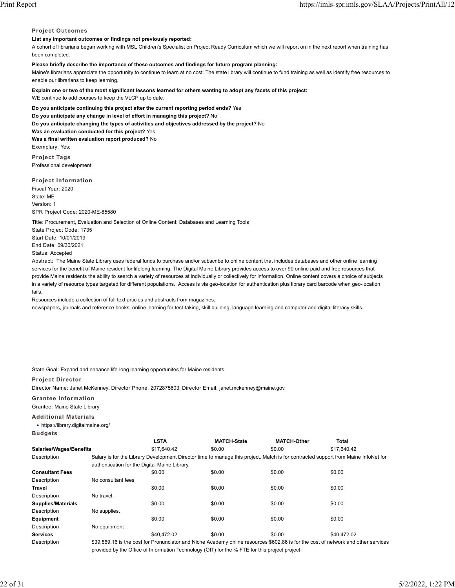#### **Project Outcomes**

## **List any important outcomes or findings not previously reported:**

A cohort of librarians began working with MSL Children's Specialist on Project Ready Curriculum which we will report on in the next report when training has been completed.

## **Please briefly describe the importance of these outcomes and findings for future program planning:**

Maine's librarians appreciate the opportunity to continue to learn at no cost. The state library will continue to fund training as well as identify free resources to enable our librarians to keep learning.

**Explain one or two of the most significant lessons learned for others wanting to adopt any facets of this project:** WE continue to add courses to keep the VLCP up to date.

**Do you anticipate continuing this project after the current reporting period ends?** Yes **Do you anticipate any change in level of effort in managing this project?** No **Do you anticipate changing the types of activities and objectives addressed by the project?** No **Was an evaluation conducted for this project?** Yes **Was a final written evaluation report produced?** No Exemplary: Yes;

**Project Tags** Professional development

**Project Information** Fiscal Year: 2020 State: ME Version: 1 SPR Project Code: 2020-ME-85580

Title: Procurement, Evaluation and Selection of Online Content: Databases and Learning Tools

State Project Code: 1735 Start Date: 10/01/2019 End Date: 09/30/2021 Status: Accepted

Abstract: The Maine State Library uses federal funds to purchase and/or subscribe to online content that includes databases and other online learning services for the benefit of Maine resident for lifelong learning. The Digital Maine Library provides access to over 90 online paid and free resources that provide Maine residents the ability to search a variety of resources at individually or collectively for information. Online content covers a choice of subjects in a variety of resource types targeted for different populations. Access is via geo-location for authentication plus library card barcode when geo-location fails.

Resources include a collection of full text articles and abstracts from magazines, newspapers, journals and reference books; online learning for test-taking, skill building, language learning and computer and digital literacy skills.

State Goal: Expand and enhance life-long learning opportunites for Maine residents

## **Project Director**

Director Name: Janet McKenney; Director Phone: 2072875603; Director Email: janet.mckenney@maine.gov

## **Grantee Information**

Grantee: Maine State Library

### **Additional Materials**

• https://library.digitalmaine.org/

|--|--|

|                                |                                               | <b>LSTA</b> | <b>MATCH-State</b> | <b>MATCH-Other</b> | Total                                                                                                                              |
|--------------------------------|-----------------------------------------------|-------------|--------------------|--------------------|------------------------------------------------------------------------------------------------------------------------------------|
| <b>Salaries/Wages/Benefits</b> |                                               | \$17.640.42 | \$0.00             | \$0.00             | \$17,640.42                                                                                                                        |
| Description                    |                                               |             |                    |                    | Salary is for the Library Development Director time to manage this project. Match is for contracted support from Maine InfoNet for |
|                                | authentication for the Digital Maine Library. |             |                    |                    |                                                                                                                                    |
| <b>Consultant Fees</b>         |                                               | \$0.00      | \$0.00             | \$0.00             | \$0.00                                                                                                                             |
| Description                    | No consultant fees                            |             |                    |                    |                                                                                                                                    |
| <b>Travel</b>                  |                                               | \$0.00      | \$0.00             | \$0.00             | \$0.00                                                                                                                             |
| Description                    | No travel.                                    |             |                    |                    |                                                                                                                                    |
| <b>Supplies/Materials</b>      |                                               | \$0.00      | \$0.00             | \$0.00             | \$0.00                                                                                                                             |
| Description                    | No supplies.                                  |             |                    |                    |                                                                                                                                    |
| Equipment                      |                                               | \$0.00      | \$0.00             | \$0.00             | \$0.00                                                                                                                             |
| Description                    | No equipment                                  |             |                    |                    |                                                                                                                                    |
| <b>Services</b>                |                                               | \$40.472.02 | \$0.00             | \$0.00             | \$40.472.02                                                                                                                        |
| Description                    |                                               |             |                    |                    | \$39,869.16 is the cost for Pronunciator and Niche Academy online resources \$602.86 is for the cost of network and other services |

provided by the Office of Information Technology (OIT) for the % FTE for this project project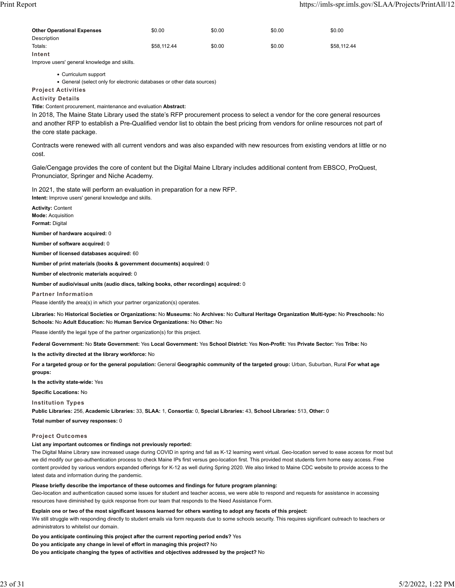| <b>Other Operational Expenses</b> | \$0.00      | \$0.00 | \$0.00 | \$0.00      |
|-----------------------------------|-------------|--------|--------|-------------|
| Description                       |             |        |        |             |
| Totals:                           | \$58,112.44 | \$0.00 | \$0.00 | \$58.112.44 |
| Intent                            |             |        |        |             |

Improve users' general knowledge and skills.

• Curriculum support

• General (select only for electronic databases or other data sources)

**Project Activities**

**Activity Details**

**Title:** Content procurement, maintenance and evaluation **Abstract:**

In 2018, The Maine State Library used the state's RFP procurement process to select a vendor for the core general resources and another RFP to establish a Pre-Qualified vendor list to obtain the best pricing from vendors for online resources not part of the core state package.

Contracts were renewed with all current vendors and was also expanded with new resources from existing vendors at little or no cost.

Gale/Cengage provides the core of content but the Digital Maine LIbrary includes additional content from EBSCO, ProQuest, Pronunciator, Springer and Niche Academy.

In 2021, the state will perform an evaluation in preparation for a new RFP. **Intent:** Improve users' general knowledge and skills.

**Activity:** Content **Mode:** Acquisition **Format:** Digital

**Number of hardware acquired:** 0

**Number of software acquired:** 0

**Number of licensed databases acquired:** 60

**Number of print materials (books & government documents) acquired:** 0

**Number of electronic materials acquired:** 0

**Number of audio/visual units (audio discs, talking books, other recordings) acquired:** 0

**Partner Information**

Please identify the area(s) in which your partner organization(s) operates.

**Libraries:** No **Historical Societies or Organizations:** No **Museums:** No **Archives:** No **Cultural Heritage Organization Multi-type:** No **Preschools:** No **Schools:** No **Adult Education:** No **Human Service Organizations:** No **Other:** No

Please identify the legal type of the partner organization(s) for this project.

**Federal Government:** No **State Government:** Yes **Local Government:** Yes **School District:** Yes **Non-Profit:** Yes **Private Sector:** Yes **Tribe:** No

**Is the activity directed at the library workforce:** No

**For a targeted group or for the general population:** General **Geographic community of the targeted group:** Urban, Suburban, Rural **For what age groups:**

**Is the activity state-wide:** Yes

**Specific Locations:** No

**Institution Types**

**Public Libraries:** 256, **Academic Libraries:** 33, **SLAA:** 1, **Consortia:** 0, **Special Libraries:** 43, **School Libraries:** 513, **Other:** 0

**Total number of survey responses:** 0

#### **Project Outcomes**

#### **List any important outcomes or findings not previously reported:**

The Digital Maine Library saw increased usage during COVID in spring and fall as K-12 learning went virtual. Geo-location served to ease access for most but we did modify our geo-authentication process to check Maine IPs first versus geo-location first. This provided most students form home easy access. Free content provided by various vendors expanded offerings for K-12 as well during Spring 2020. We also linked to Maine CDC website to provide access to the latest data and information during the pandemic.

#### **Please briefly describe the importance of these outcomes and findings for future program planning:**

Geo-location and authentication caused some issues for student and teacher access, we were able to respond and requests for assistance in accessing resources have diminished by quick response from our team that responds to the Need Assistance Form.

**Explain one or two of the most significant lessons learned for others wanting to adopt any facets of this project:**

We still struggle with responding directly to student emails via form requests due to some schools security. This requires significant outreach to teachers or administrators to whitelist our domain.

**Do you anticipate continuing this project after the current reporting period ends?** Yes

**Do you anticipate any change in level of effort in managing this project?** No

**Do you anticipate changing the types of activities and objectives addressed by the project?** No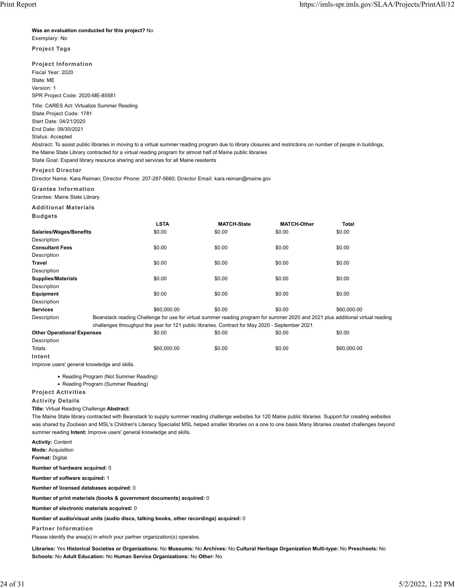#### **Was an evaluation conducted for this project?** No

Exemplary: No

### **Project Tags**

**Project Information** Fiscal Year: 2020 State: ME Version: 1 SPR Project Code: 2020-ME-85581

Title: CARES Act: Virtualize Summer Reading State Project Code: 1781 Start Date: 04/21/2020 End Date: 09/30/2021 Status: Accepted

Abstract: To assist public libraries in moving to a virtual summer reading program due to library closures and restrictions on number of people in buildings, the Maine State Library contracted for a virtual reading program for almost half of Maine public libraries

State Goal: Expand library resource sharing and services for all Maine residents

## **Project Director**

Director Name: Kara Reiman; Director Phone: 207-287-5660; Director Email: kara.reiman@maine.gov

**Grantee Information**

Grantee: Maine State Library

**Additional Materials**

| ı<br>ш |  | 1 |  |  |  |  |
|--------|--|---|--|--|--|--|
|--------|--|---|--|--|--|--|

|                                   | <b>LSTA</b> | <b>MATCH-State</b>                                                                               | <b>MATCH-Other</b>                                                                                                              | Total       |
|-----------------------------------|-------------|--------------------------------------------------------------------------------------------------|---------------------------------------------------------------------------------------------------------------------------------|-------------|
| Salaries/Wages/Benefits           | \$0.00      | \$0.00                                                                                           | \$0.00                                                                                                                          | \$0.00      |
| Description                       |             |                                                                                                  |                                                                                                                                 |             |
| <b>Consultant Fees</b>            | \$0.00      | \$0.00                                                                                           | \$0.00                                                                                                                          | \$0.00      |
| Description                       |             |                                                                                                  |                                                                                                                                 |             |
| <b>Travel</b>                     | \$0.00      | \$0.00                                                                                           | \$0.00                                                                                                                          | \$0.00      |
| Description                       |             |                                                                                                  |                                                                                                                                 |             |
| <b>Supplies/Materials</b>         | \$0.00      | \$0.00                                                                                           | \$0.00                                                                                                                          | \$0.00      |
| Description                       |             |                                                                                                  |                                                                                                                                 |             |
| Equipment                         | \$0.00      | \$0.00                                                                                           | \$0.00                                                                                                                          | \$0.00      |
| Description                       |             |                                                                                                  |                                                                                                                                 |             |
| <b>Services</b>                   | \$60,000.00 | \$0.00                                                                                           | \$0.00                                                                                                                          | \$60,000.00 |
| Description                       |             |                                                                                                  | Beanstack reading Challenge for use for virtual summer reading program for summer 2020 and 2021 plus additional virtual reading |             |
|                                   |             | challenges throughput the year for 121 public libraries. Contract for May 2020 - September 2021. |                                                                                                                                 |             |
| <b>Other Operational Expenses</b> | \$0.00      | \$0.00                                                                                           | \$0.00                                                                                                                          | \$0.00      |
| Description                       |             |                                                                                                  |                                                                                                                                 |             |

Totals: \$60,000.00 \$0.00 \$0.00 \$60,000.00

**Intent**

Improve users' general knowledge and skills.

- Reading Program (Not Summer Reading)
- Reading Program (Summer Reading)

# **Project Activities**

## **Activity Details**

## **Title:** Virtual Reading Challenge **Abstract:**

The Maine State library contracted with Beanstack to supply summer reading challenge websites for 120 Maine public libraries Support for creating websites was shared by Zoobean and MSL's Children's Literacy Specialist MSL helped smaller libraries on a one to one basis Many libraries created challenges beyond summer reading **Intent:** Improve users' general knowledge and skills.

**Activity:** Content **Mode:** Acquisition **Format:** Digital

**Number of hardware acquired:** 0

**Number of software acquired:** 1

**Number of licensed databases acquired:** 0

**Number of print materials (books & government documents) acquired:** 0

**Number of electronic materials acquired:** 0

**Number of audio/visual units (audio discs, talking books, other recordings) acquired:** 0

**Partner Information**

Please identify the area(s) in which your partner organization(s) operates.

**Libraries:** Yes **Historical Societies or Organizations:** No **Museums:** No **Archives:** No **Cultural Heritage Organization Multi-type:** No **Preschools:** No **Schools:** No **Adult Education:** No **Human Service Organizations:** No **Other:** No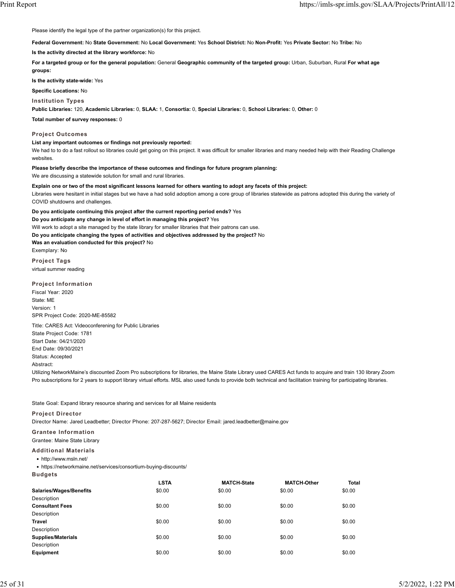Please identify the legal type of the partner organization(s) for this project.

**Federal Government:** No **State Government:** No **Local Government:** Yes **School District:** No **Non-Profit:** Yes **Private Sector:** No **Tribe:** No

**Is the activity directed at the library workforce:** No

**For a targeted group or for the general population:** General **Geographic community of the targeted group:** Urban, Suburban, Rural **For what age groups:**

**Is the activity state-wide:** Yes

**Specific Locations:** No

#### **Institution Types**

**Public Libraries:** 120, **Academic Libraries:** 0, **SLAA:** 1, **Consortia:** 0, **Special Libraries:** 0, **School Libraries:** 0, **Other:** 0

**Total number of survey responses:** 0

#### **Project Outcomes**

#### **List any important outcomes or findings not previously reported:**

We had to to do a fast rollout so libraries could get going on this project. It was difficult for smaller libraries and many needed help with their Reading Challenge websites.

#### **Please briefly describe the importance of these outcomes and findings for future program planning:**

We are discussing a statewide solution for small and rural libraries.

#### **Explain one or two of the most significant lessons learned for others wanting to adopt any facets of this project:**

Libraries were hesitant in initial stages but we have a had solid adoption among a core group of libraries statewide as patrons adopted this during the variety of COVID shutdowns and challenges.

**Do you anticipate continuing this project after the current reporting period ends?** Yes **Do you anticipate any change in level of effort in managing this project?** Yes Will work to adopt a site managed by the state library for smaller libraries that their patrons can use. **Do you anticipate changing the types of activities and objectives addressed by the project?** No **Was an evaluation conducted for this project?** No Exemplary: No

**Project Tags** virtual summer reading

#### **Project Information**

Fiscal Year: 2020 State: ME Version: 1 SPR Project Code: 2020-ME-85582

Title: CARES Act: Videoconferening for Public Libraries State Project Code: 1781 Start Date: 04/21/2020 End Date: 09/30/2021 Status: Accepted Abstract:

Utilizing NetworkMaine's discounted Zoom Pro subscriptions for libraries, the Maine State Library used CARES Act funds to acquire and train 130 library Zoom Pro subscriptions for 2 years to support library virtual efforts. MSL also used funds to provide both technical and facilitation training for participating libraries.

State Goal: Expand library resource sharing and services for all Maine residents

#### **Project Director**

Director Name: Jared Leadbetter; Director Phone: 207-287-5627; Director Email: jared.leadbetter@maine.gov

**Grantee Information**

# Grantee: Maine State Library

- **Additional Materials**
- http://www.msln.net/

• https://networkmaine.net/services/consortium-buying-discounts/

**Budgets**

|                                | <b>LSTA</b> | <b>MATCH-State</b> | <b>MATCH-Other</b> | <b>Total</b> |
|--------------------------------|-------------|--------------------|--------------------|--------------|
| <b>Salaries/Wages/Benefits</b> | \$0.00      | \$0.00             | \$0.00             | \$0.00       |
| Description                    |             |                    |                    |              |
| <b>Consultant Fees</b>         | \$0.00      | \$0.00             | \$0.00             | \$0.00       |
| Description                    |             |                    |                    |              |
| <b>Travel</b>                  | \$0.00      | \$0.00             | \$0.00             | \$0.00       |
| Description                    |             |                    |                    |              |
| <b>Supplies/Materials</b>      | \$0.00      | \$0.00             | \$0.00             | \$0.00       |
| Description                    |             |                    |                    |              |
| Equipment                      | \$0.00      | \$0.00             | \$0.00             | \$0.00       |
|                                |             |                    |                    |              |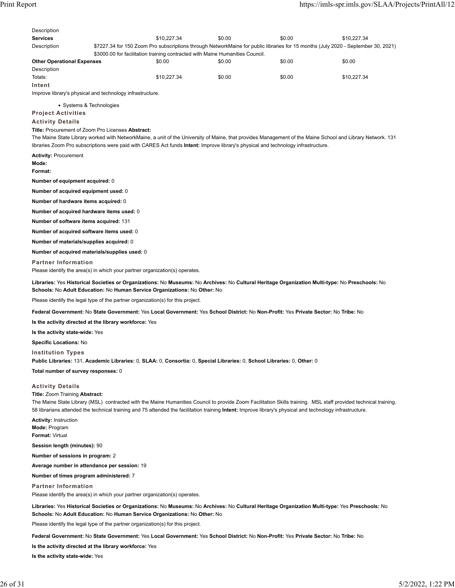| <b>Services</b>                                                                                                                     |                                                                                                                                                                 | \$10,227.34 | \$0.00                                                                                                                            | \$0.00 | \$10,227.34 |
|-------------------------------------------------------------------------------------------------------------------------------------|-----------------------------------------------------------------------------------------------------------------------------------------------------------------|-------------|-----------------------------------------------------------------------------------------------------------------------------------|--------|-------------|
| Description                                                                                                                         | \$3000.00 for facilitation training contracted with Maine Humanities Council.                                                                                   |             | \$7227.34 for 150 Zoom Pro subscriptions through NetworkMaine for public libraries for 15 months (July 2020 - September 30, 2021) |        |             |
| <b>Other Operational Expenses</b>                                                                                                   |                                                                                                                                                                 | \$0.00      | \$0.00                                                                                                                            | \$0.00 | \$0.00      |
| Description                                                                                                                         |                                                                                                                                                                 |             |                                                                                                                                   |        |             |
| Totals:                                                                                                                             |                                                                                                                                                                 | \$10,227.34 | \$0.00                                                                                                                            | \$0.00 | \$10,227.34 |
| Intent                                                                                                                              | Improve library's physical and technology infrastructure.                                                                                                       |             |                                                                                                                                   |        |             |
|                                                                                                                                     |                                                                                                                                                                 |             |                                                                                                                                   |        |             |
| • Systems & Technologies<br><b>Project Activities</b>                                                                               |                                                                                                                                                                 |             |                                                                                                                                   |        |             |
| <b>Activity Details</b>                                                                                                             |                                                                                                                                                                 |             |                                                                                                                                   |        |             |
|                                                                                                                                     | <b>Title: Procurement of Zoom Pro Licenses Abstract:</b>                                                                                                        |             |                                                                                                                                   |        |             |
|                                                                                                                                     | The Maine State Library worked with NetworkMaine, a unit of the University of Maine, that provides Management of the Maine School and Library Network. 131      |             |                                                                                                                                   |        |             |
|                                                                                                                                     | libraries Zoom Pro subscriptions were paid with CARES Act funds Intent: Improve library's physical and technology infrastructure.                               |             |                                                                                                                                   |        |             |
| <b>Activity: Procurement</b><br>Mode:                                                                                               |                                                                                                                                                                 |             |                                                                                                                                   |        |             |
| Format:                                                                                                                             |                                                                                                                                                                 |             |                                                                                                                                   |        |             |
| Number of equipment acquired: 0                                                                                                     |                                                                                                                                                                 |             |                                                                                                                                   |        |             |
| Number of acquired equipment used: 0                                                                                                |                                                                                                                                                                 |             |                                                                                                                                   |        |             |
| Number of hardware items acquired: 0                                                                                                |                                                                                                                                                                 |             |                                                                                                                                   |        |             |
| Number of acquired hardware items used: 0                                                                                           |                                                                                                                                                                 |             |                                                                                                                                   |        |             |
| Number of software items acquired: 131                                                                                              |                                                                                                                                                                 |             |                                                                                                                                   |        |             |
| Number of acquired software items used: 0                                                                                           |                                                                                                                                                                 |             |                                                                                                                                   |        |             |
| Number of materials/supplies acquired: 0                                                                                            |                                                                                                                                                                 |             |                                                                                                                                   |        |             |
| Number of acquired materials/supplies used: 0                                                                                       |                                                                                                                                                                 |             |                                                                                                                                   |        |             |
| <b>Partner Information</b>                                                                                                          |                                                                                                                                                                 |             |                                                                                                                                   |        |             |
|                                                                                                                                     | Please identify the area(s) in which your partner organization(s) operates.                                                                                     |             |                                                                                                                                   |        |             |
|                                                                                                                                     | Libraries: Yes Historical Societies or Organizations: No Museums: No Archives: No Cultural Heritage Organization Multi-type: No Preschools: No                  |             |                                                                                                                                   |        |             |
|                                                                                                                                     | Schools: No Adult Education: No Human Service Organizations: No Other: No                                                                                       |             |                                                                                                                                   |        |             |
|                                                                                                                                     | Please identify the legal type of the partner organization(s) for this project.                                                                                 |             |                                                                                                                                   |        |             |
| Federal Government: No State Government: Yes Local Government: Yes School District: No Non-Profit: Yes Private Sector: No Tribe: No |                                                                                                                                                                 |             |                                                                                                                                   |        |             |
|                                                                                                                                     |                                                                                                                                                                 |             |                                                                                                                                   |        |             |
|                                                                                                                                     | Is the activity directed at the library workforce: Yes                                                                                                          |             |                                                                                                                                   |        |             |
| Is the activity state-wide: Yes                                                                                                     |                                                                                                                                                                 |             |                                                                                                                                   |        |             |
| <b>Specific Locations: No</b>                                                                                                       |                                                                                                                                                                 |             |                                                                                                                                   |        |             |
| <b>Institution Types</b>                                                                                                            |                                                                                                                                                                 |             |                                                                                                                                   |        |             |
|                                                                                                                                     | Public Libraries: 131, Academic Libraries: 0, SLAA: 0, Consortia: 0, Special Libraries: 0, School Libraries: 0, Other: 0                                        |             |                                                                                                                                   |        |             |
| Total number of survey responses: 0                                                                                                 |                                                                                                                                                                 |             |                                                                                                                                   |        |             |
|                                                                                                                                     |                                                                                                                                                                 |             |                                                                                                                                   |        |             |
| <b>Activity Details</b><br><b>Title: Zoom Training Abstract:</b>                                                                    |                                                                                                                                                                 |             |                                                                                                                                   |        |             |
|                                                                                                                                     | The Maine State Library (MSL) contracted with the Maine Humanities Council to provide Zoom Facilitation Skills training. MSL staff provided technical training. |             |                                                                                                                                   |        |             |
|                                                                                                                                     | 58 librarians attended the technical training and 75 attended the facilitation training Intent: Improve library's physical and technology infrastructure.       |             |                                                                                                                                   |        |             |
| <b>Activity: Instruction</b>                                                                                                        |                                                                                                                                                                 |             |                                                                                                                                   |        |             |
| Mode: Program                                                                                                                       |                                                                                                                                                                 |             |                                                                                                                                   |        |             |
| Format: Virtual                                                                                                                     |                                                                                                                                                                 |             |                                                                                                                                   |        |             |
| Session length (minutes): 90                                                                                                        |                                                                                                                                                                 |             |                                                                                                                                   |        |             |
| Number of sessions in program: 2                                                                                                    |                                                                                                                                                                 |             |                                                                                                                                   |        |             |
| Average number in attendance per session: 19                                                                                        |                                                                                                                                                                 |             |                                                                                                                                   |        |             |
| Number of times program administered: 7                                                                                             |                                                                                                                                                                 |             |                                                                                                                                   |        |             |
| <b>Partner Information</b>                                                                                                          | Please identify the area(s) in which your partner organization(s) operates.                                                                                     |             |                                                                                                                                   |        |             |
|                                                                                                                                     | Libraries: Yes Historical Societies or Organizations: No Museums: No Archives: No Cultural Heritage Organization Multi-type: Yes Preschools: No                 |             |                                                                                                                                   |        |             |
|                                                                                                                                     | Schools: No Adult Education: No Human Service Organizations: No Other: No                                                                                       |             |                                                                                                                                   |        |             |
|                                                                                                                                     | Please identify the legal type of the partner organization(s) for this project.                                                                                 |             |                                                                                                                                   |        |             |
|                                                                                                                                     | Federal Government: No State Government: Yes Local Government: Yes School District: No Non-Profit: Yes Private Sector: No Tribe: No                             |             |                                                                                                                                   |        |             |
|                                                                                                                                     | Is the activity directed at the library workforce: Yes                                                                                                          |             |                                                                                                                                   |        |             |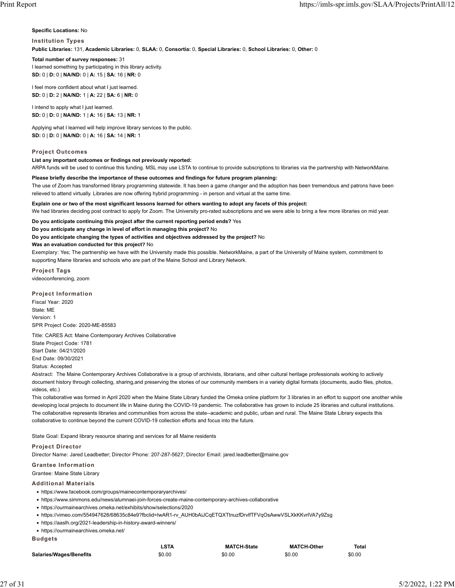**Specific Locations:** No

#### **Institution Types**

**Public Libraries:** 131, **Academic Libraries:** 0, **SLAA:** 0, **Consortia:** 0, **Special Libraries:** 0, **School Libraries:** 0, **Other:** 0

#### **Total number of survey responses:** 31 I learned something by participating in this library activity.

**SD:** 0 | **D:** 0 | **NA/ND:** 0 | **A:** 15 | **SA:** 16 | **NR:** 0

I feel more confident about what I just learned. **SD:** 0 | **D:** 2 | **NA/ND:** 1 | **A:** 22 | **SA:** 6 | **NR:** 0

I intend to apply what I just learned. **SD:** 0 | **D:** 0 | **NA/ND:** 1 | **A:** 16 | **SA:** 13 | **NR:** 1

Applying what I learned will help improve library services to the public. **SD:** 0 | **D:** 0 | **NA/ND:** 0 | **A:** 16 | **SA:** 14 | **NR:** 1

## **Project Outcomes**

### **List any important outcomes or findings not previously reported:**

ARPA funds will be used to continue this funding. MSL may use LSTA to continue to provide subscriptions to libraries via the partnership with NetworkMaine.

#### **Please briefly describe the importance of these outcomes and findings for future program planning:**

The use of Zoom has transformed library programming statewide. It has been a game changer and the adoption has been tremendous and patrons have been relieved to attend virtually. Libraries are now offering hybrid programming - in person and virtual at the same time.

#### **Explain one or two of the most significant lessons learned for others wanting to adopt any facets of this project:**

We had libraries deciding post contract to apply for Zoom. The University pro-rated subscriptions and we were able to bring a few more libraries on mid year.

**Do you anticipate continuing this project after the current reporting period ends?** Yes

**Do you anticipate any change in level of effort in managing this project?** No

**Do you anticipate changing the types of activities and objectives addressed by the project?** No

#### **Was an evaluation conducted for this project?** No

Exemplary: Yes; The partnership we have with the University made this possible. NetworkMaine, a part of the University of Maine system, commitment to supporting Maine libraries and schools who are part of the Maine School and Library Network.

**Project Tags** videoconferencing, zoom

**Project Information** Fiscal Year: 2020 State: ME Version: 1 SPR Project Code: 2020-ME-85583

Title: CARES Act: Maine Contemporary Archives Collaborative State Project Code: 1781 Start Date: 04/21/2020 End Date: 09/30/2021 Status: Accepted

Abstract: The Maine Contemporary Archives Collaborative is a group of archivists, librarians, and other cultural heritage professionals working to actively document history through collecting, sharing,and preserving the stories of our community members in a variety digital formats (documents, audio files, photos, videos, etc.)

This collaborative was formed in April 2020 when the Maine State Library funded the Omeka online platform for 3 libraries in an effort to support one another while developing local projects to document life in Maine during the COVID-19 pandemic. The collaborative has grown to include 25 libraries and cultural institutions. The collaborative represents libraries and communities from across the state--academic and public, urban and rural. The Maine State Library expects this collaborative to continue beyond the current COVID-19 collection efforts and focus into the future.

State Goal: Expand library resource sharing and services for all Maine residents

### **Project Director**

Director Name: Jared Leadbetter; Director Phone: 207-287-5627; Director Email: jared.leadbetter@maine.gov

### **Grantee Information**

Grantee: Maine State Library

### **Additional Materials**

- https://www.facebook.com/groups/mainecontemporaryarchives/
- https://www.simmons.edu/news/alumnaei-join-forces-create-maine-contemporary-archives-collaborative
- https://ourmainearchives.omeka.net/exhibits/show/selections/2020
- https://vimeo.com/554947628/68635c84e9?fbclid=IwAR1-rv\_AUH0bAiJCqETQXTtnuzfDrvlfTFVqOsAwwVSLXkKKvrlVA7y9Zsg
- https://aaslh.org/2021-leadership-in-history-award-winners/
- https://ourmainearchives.omeka.net/

**Budgets**

|                         | ∟STA   | <b>MATCH-State</b> | <b>MATCH-Other</b> | <b>Total</b> |
|-------------------------|--------|--------------------|--------------------|--------------|
| Salaries/Wages/Benefits | \$0.00 | \$0.00             | \$0.00             | \$0.00       |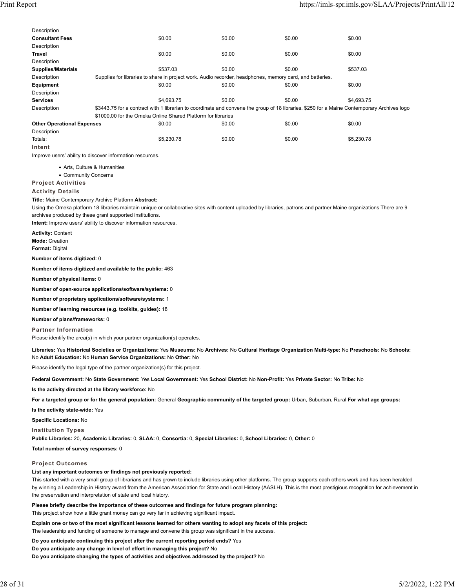| Description                         |                                                                                 |            |                                                                                                                                                                      |        |                                                                                                                                                          |
|-------------------------------------|---------------------------------------------------------------------------------|------------|----------------------------------------------------------------------------------------------------------------------------------------------------------------------|--------|----------------------------------------------------------------------------------------------------------------------------------------------------------|
| <b>Consultant Fees</b>              |                                                                                 | \$0.00     | \$0.00                                                                                                                                                               | \$0.00 | \$0.00                                                                                                                                                   |
| Description<br>Travel               |                                                                                 | \$0.00     | \$0.00                                                                                                                                                               | \$0.00 | \$0.00                                                                                                                                                   |
| Description                         |                                                                                 |            |                                                                                                                                                                      |        |                                                                                                                                                          |
| <b>Supplies/Materials</b>           |                                                                                 | \$537.03   | \$0.00                                                                                                                                                               | \$0.00 | \$537.03                                                                                                                                                 |
| Description                         |                                                                                 |            | Supplies for libraries to share in project work. Audio recorder, headphones, memory card, and batteries.                                                             |        |                                                                                                                                                          |
| <b>Equipment</b>                    |                                                                                 | \$0.00     | \$0.00                                                                                                                                                               | \$0.00 | \$0.00                                                                                                                                                   |
| Description                         |                                                                                 |            |                                                                                                                                                                      |        |                                                                                                                                                          |
| <b>Services</b>                     |                                                                                 | \$4,693.75 | \$0.00                                                                                                                                                               | \$0.00 | \$4,693.75                                                                                                                                               |
| Description                         |                                                                                 |            |                                                                                                                                                                      |        | \$3443.75 for a contract with 1 librarian to coordinate and convene the group of 18 libraries. \$250 for a Maine Contemporary Archives logo              |
| <b>Other Operational Expenses</b>   | \$1000,00 for the Omeka Online Shared Platform for libraries                    | \$0.00     | \$0.00                                                                                                                                                               | \$0.00 | \$0.00                                                                                                                                                   |
| Description                         |                                                                                 |            |                                                                                                                                                                      |        |                                                                                                                                                          |
| Totals:                             |                                                                                 | \$5,230.78 | \$0.00                                                                                                                                                               | \$0.00 | \$5,230.78                                                                                                                                               |
| Intent                              |                                                                                 |            |                                                                                                                                                                      |        |                                                                                                                                                          |
|                                     | Improve users' ability to discover information resources.                       |            |                                                                                                                                                                      |        |                                                                                                                                                          |
| • Arts, Culture & Humanities        |                                                                                 |            |                                                                                                                                                                      |        |                                                                                                                                                          |
| • Community Concerns                |                                                                                 |            |                                                                                                                                                                      |        |                                                                                                                                                          |
| <b>Project Activities</b>           |                                                                                 |            |                                                                                                                                                                      |        |                                                                                                                                                          |
| <b>Activity Details</b>             |                                                                                 |            |                                                                                                                                                                      |        |                                                                                                                                                          |
|                                     | Title: Maine Contemporary Archive Platform Abstract:                            |            |                                                                                                                                                                      |        |                                                                                                                                                          |
|                                     |                                                                                 |            | Using the Omeka platform 18 libraries maintain unique or collaborative sites with content uploaded by libraries, patrons and partner Maine organizations There are 9 |        |                                                                                                                                                          |
|                                     | archives produced by these grant supported institutions.                        |            |                                                                                                                                                                      |        |                                                                                                                                                          |
|                                     | Intent: Improve users' ability to discover information resources.               |            |                                                                                                                                                                      |        |                                                                                                                                                          |
| <b>Activity: Content</b>            |                                                                                 |            |                                                                                                                                                                      |        |                                                                                                                                                          |
| <b>Mode: Creation</b>               |                                                                                 |            |                                                                                                                                                                      |        |                                                                                                                                                          |
| <b>Format: Digital</b>              |                                                                                 |            |                                                                                                                                                                      |        |                                                                                                                                                          |
| Number of items digitized: 0        |                                                                                 |            |                                                                                                                                                                      |        |                                                                                                                                                          |
|                                     | Number of items digitized and available to the public: 463                      |            |                                                                                                                                                                      |        |                                                                                                                                                          |
| Number of physical items: 0         |                                                                                 |            |                                                                                                                                                                      |        |                                                                                                                                                          |
|                                     | Number of open-source applications/software/systems: 0                          |            |                                                                                                                                                                      |        |                                                                                                                                                          |
|                                     | Number of proprietary applications/software/systems: 1                          |            |                                                                                                                                                                      |        |                                                                                                                                                          |
|                                     | Number of learning resources (e.g. toolkits, guides): 18                        |            |                                                                                                                                                                      |        |                                                                                                                                                          |
| Number of plans/frameworks: 0       |                                                                                 |            |                                                                                                                                                                      |        |                                                                                                                                                          |
| <b>Partner Information</b>          |                                                                                 |            |                                                                                                                                                                      |        |                                                                                                                                                          |
|                                     | Please identify the area(s) in which your partner organization(s) operates.     |            |                                                                                                                                                                      |        |                                                                                                                                                          |
|                                     | No Adult Education: No Human Service Organizations: No Other: No                |            |                                                                                                                                                                      |        | Libraries: Yes Historical Societies or Organizations: Yes Museums: No Archives: No Cultural Heritage Organization Multi-type: No Preschools: No Schools: |
|                                     | Please identify the legal type of the partner organization(s) for this project. |            |                                                                                                                                                                      |        |                                                                                                                                                          |
|                                     |                                                                                 |            | Federal Government: No State Government: Yes Local Government: Yes School District: No Non-Profit: Yes Private Sector: No Tribe: No                                  |        |                                                                                                                                                          |
|                                     | Is the activity directed at the library workforce: No                           |            |                                                                                                                                                                      |        |                                                                                                                                                          |
|                                     |                                                                                 |            | For a targeted group or for the general population: General Geographic community of the targeted group: Urban, Suburban, Rural For what age groups:                  |        |                                                                                                                                                          |
|                                     |                                                                                 |            |                                                                                                                                                                      |        |                                                                                                                                                          |
| Is the activity state-wide: Yes     |                                                                                 |            |                                                                                                                                                                      |        |                                                                                                                                                          |
| <b>Specific Locations: No</b>       |                                                                                 |            |                                                                                                                                                                      |        |                                                                                                                                                          |
| <b>Institution Types</b>            |                                                                                 |            |                                                                                                                                                                      |        |                                                                                                                                                          |
|                                     |                                                                                 |            | Public Libraries: 20, Academic Libraries: 0, SLAA: 0, Consortia: 0, Special Libraries: 0, School Libraries: 0, Other: 0                                              |        |                                                                                                                                                          |
| Total number of survey responses: 0 |                                                                                 |            |                                                                                                                                                                      |        |                                                                                                                                                          |

### **Project Outcomes**

**List any important outcomes or findings not previously reported:**

This started with a very small group of librarians and has grown to include libraries using other platforms. The group supports each others work and has been heralded by winning a Leadership in History award from the American Association for State and Local History (AASLH). This is the most prestigious recognition for achievement in the preservation and interpretation of state and local history.

**Please briefly describe the importance of these outcomes and findings for future program planning:** This project show how a little grant money can go very far in achieving significant impact.

**Explain one or two of the most significant lessons learned for others wanting to adopt any facets of this project:**

The leadership and funding of someone to manage and convene this group was significant in the success.

**Do you anticipate continuing this project after the current reporting period ends?** Yes

**Do you anticipate any change in level of effort in managing this project?** No

**Do you anticipate changing the types of activities and objectives addressed by the project?** No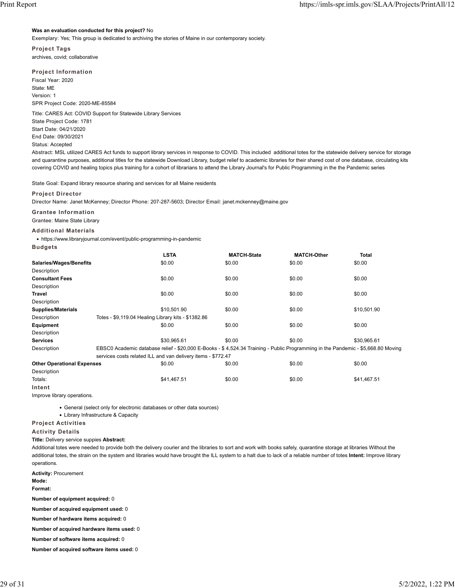#### **Was an evaluation conducted for this project?** No

Exemplary: Yes; This group is dedicated to archiving the stories of Maine in our contemporary society.

**Project Tags** archives, covid; collaborative

## **Project Information**

Fiscal Year: 2020 State: ME Version: 1 SPR Project Code: 2020-ME-85584

Title: CARES Act: COVID Support for Statewide Library Services State Project Code: 1781 Start Date: 04/21/2020 End Date: 09/30/2021

### Status: Accepted

Abstract: MSL utilized CARES Act funds to support library services in response to COVID. This included additional totes for the statewide delivery service for storage and quarantine purposes, additional titles for the statewide Download Library, budget relief to academic libraries for their shared cost of one database, circulating kits covering COVID and healing topics plus training for a cohort of librarians to attend the Library Journal's for Public Programming in the the Pandemic series

State Goal: Expand library resource sharing and services for all Maine residents

#### **Project Director**

Director Name: Janet McKenney; Director Phone: 207-287-5603; Director Email: janet.mckenney@maine.gov

## **Grantee Information**

Grantee: Maine State Library

#### **Additional Materials**

• https://www.libraryjournal.com/event/public-programming-in-pandemic

**Budgets**

|                                   |                                                     | <b>LSTA</b>                                                  | <b>MATCH-State</b>                                                                                                               | <b>MATCH-Other</b> | <b>Total</b> |
|-----------------------------------|-----------------------------------------------------|--------------------------------------------------------------|----------------------------------------------------------------------------------------------------------------------------------|--------------------|--------------|
| Salaries/Wages/Benefits           |                                                     | \$0.00                                                       | \$0.00                                                                                                                           | \$0.00             | \$0.00       |
| Description                       |                                                     |                                                              |                                                                                                                                  |                    |              |
| <b>Consultant Fees</b>            |                                                     | \$0.00                                                       | \$0.00                                                                                                                           | \$0.00             | \$0.00       |
| Description                       |                                                     |                                                              |                                                                                                                                  |                    |              |
| <b>Travel</b>                     |                                                     | \$0.00                                                       | \$0.00                                                                                                                           | \$0.00             | \$0.00       |
| Description                       |                                                     |                                                              |                                                                                                                                  |                    |              |
| <b>Supplies/Materials</b>         |                                                     | \$10.501.90                                                  | \$0.00                                                                                                                           | \$0.00             | \$10,501.90  |
| Description                       | Totes - \$9,119.04 Healing Library kits - \$1382.86 |                                                              |                                                                                                                                  |                    |              |
| Equipment                         |                                                     | \$0.00                                                       | \$0.00                                                                                                                           | \$0.00             | \$0.00       |
| Description                       |                                                     |                                                              |                                                                                                                                  |                    |              |
| <b>Services</b>                   |                                                     | \$30.965.61                                                  | \$0.00                                                                                                                           | \$0.00             | \$30.965.61  |
| Description                       |                                                     |                                                              | EBSC0 Academic database relief - \$20,000 E-Books - \$4,524.34 Training - Public Programming in the Pandemic - \$5,668.80 Moving |                    |              |
|                                   |                                                     | services costs related ILL and van delivery items - \$772.47 |                                                                                                                                  |                    |              |
| <b>Other Operational Expenses</b> |                                                     | \$0.00                                                       | \$0.00                                                                                                                           | \$0.00             | \$0.00       |

Description

Totals: \$41,467.51 \$0.00 \$0.00 \$41,467.51 **Intent**

Improve library operations.

• General (select only for electronic databases or other data sources)

• Library Infrastructure & Capacity

### **Project Activities**

#### **Activity Details**

**Title:** Delivery service suppies **Abstract:**

Additional totes were needed to provide both the delivery courier and the libraries to sort and work with books safely, quarantine storage at libraries Without the additional totes, the strain on the system and libraries would have brought the ILL system to a halt due to lack of a reliable number of totes **Intent:** Improve library operations.

**Activity:** Procurement

**Mode:**

**Format:**

**Number of equipment acquired:** 0

**Number of acquired equipment used:** 0

**Number of hardware items acquired:** 0

**Number of acquired hardware items used:** 0

**Number of software items acquired:** 0

**Number of acquired software items used:** 0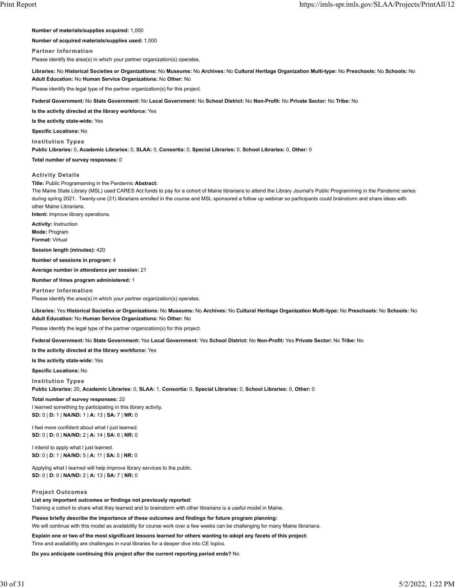**Number of materials/supplies acquired:** 1,000

**Number of acquired materials/supplies used:** 1,000

## **Partner Information**

Please identify the area(s) in which your partner organization(s) operates.

**Libraries:** No **Historical Societies or Organizations:** No **Museums:** No **Archives:** No **Cultural Heritage Organization Multi-type:** No **Preschools:** No **Schools:** No **Adult Education:** No **Human Service Organizations:** No **Other:** No

Please identify the legal type of the partner organization(s) for this project.

**Federal Government:** No **State Government:** No **Local Government:** No **School District:** No **Non-Profit:** No **Private Sector:** No **Tribe:** No

**Is the activity directed at the library workforce:** Yes

**Is the activity state-wide:** Yes

**Specific Locations:** No

**Institution Types**

**Public Libraries:** 0, **Academic Libraries:** 0, **SLAA:** 0, **Consortia:** 0, **Special Libraries:** 0, **School Libraries:** 0, **Other:** 0

**Total number of survey responses:** 0

## **Activity Details**

**Title:** Public Programaming in the Pandemic **Abstract:**

The Maine State Library (MSL) used CARES Act funds to pay for a cohort of Maine librarians to attend the Library Journal's Public Programming in the Pandemic series during spring 2021. Twenty-one (21) librarians enrolled in the course and MSL sponsored a follow up webinar so participants could brainstorm and share ideas with other Maine Librarians.

**Intent:** Improve library operations.

**Activity:** Instruction **Mode:** Program

**Format:** Virtual

**Session length (minutes):** 420

**Number of sessions in program:** 4

**Average number in attendance per session:** 21

**Number of times program administered:** 1

**Partner Information**

Please identify the area(s) in which your partner organization(s) operates.

**Libraries:** Yes **Historical Societies or Organizations:** No **Museums:** No **Archives:** No **Cultural Heritage Organization Multi-type:** No **Preschools:** No **Schools:** No **Adult Education:** No **Human Service Organizations:** No **Other:** No

Please identify the legal type of the partner organization(s) for this project.

**Federal Government:** No **State Government:** Yes **Local Government:** Yes **School District:** No **Non-Profit:** Yes **Private Sector:** No **Tribe:** No

**Is the activity directed at the library workforce:** Yes

**Is the activity state-wide:** Yes

**Specific Locations:** No

**Institution Types**

**Public Libraries:** 20, **Academic Libraries:** 0, **SLAA:** 1, **Consortia:** 0, **Special Libraries:** 0, **School Libraries:** 0, **Other:** 0

#### **Total number of survey responses:** 22

I learned something by participating in this library activity. **SD:** 0 | **D:** 1 | **NA/ND:** 1 | **A:** 13 | **SA:** 7 | **NR:** 0

I feel more confident about what I just learned. **SD:** 0 | **D:** 0 | **NA/ND:** 2 | **A:** 14 | **SA:** 6 | **NR:** 0

I intend to apply what I just learned. **SD:** 0 | **D:** 1 | **NA/ND:** 5 | **A:** 11 | **SA:** 5 | **NR:** 0

Applying what I learned will help improve library services to the public. **SD:** 0 | **D:** 0 | **NA/ND:** 2 | **A:** 13 | **SA:** 7 | **NR:** 0

### **Project Outcomes**

**List any important outcomes or findings not previously reported:** Training a cohort to share what they learned and to brainstorm with other librarians is a useful model in Maine.

**Please briefly describe the importance of these outcomes and findings for future program planning:** We will continue with this model as availability for course work over a few weeks can be challenging for many Maine librarians.

**Explain one or two of the most significant lessons learned for others wanting to adopt any facets of this project:**

Time and availability are challenges in rural libraries for a deeper dive into CE topics.

**Do you anticipate continuing this project after the current reporting period ends?** No